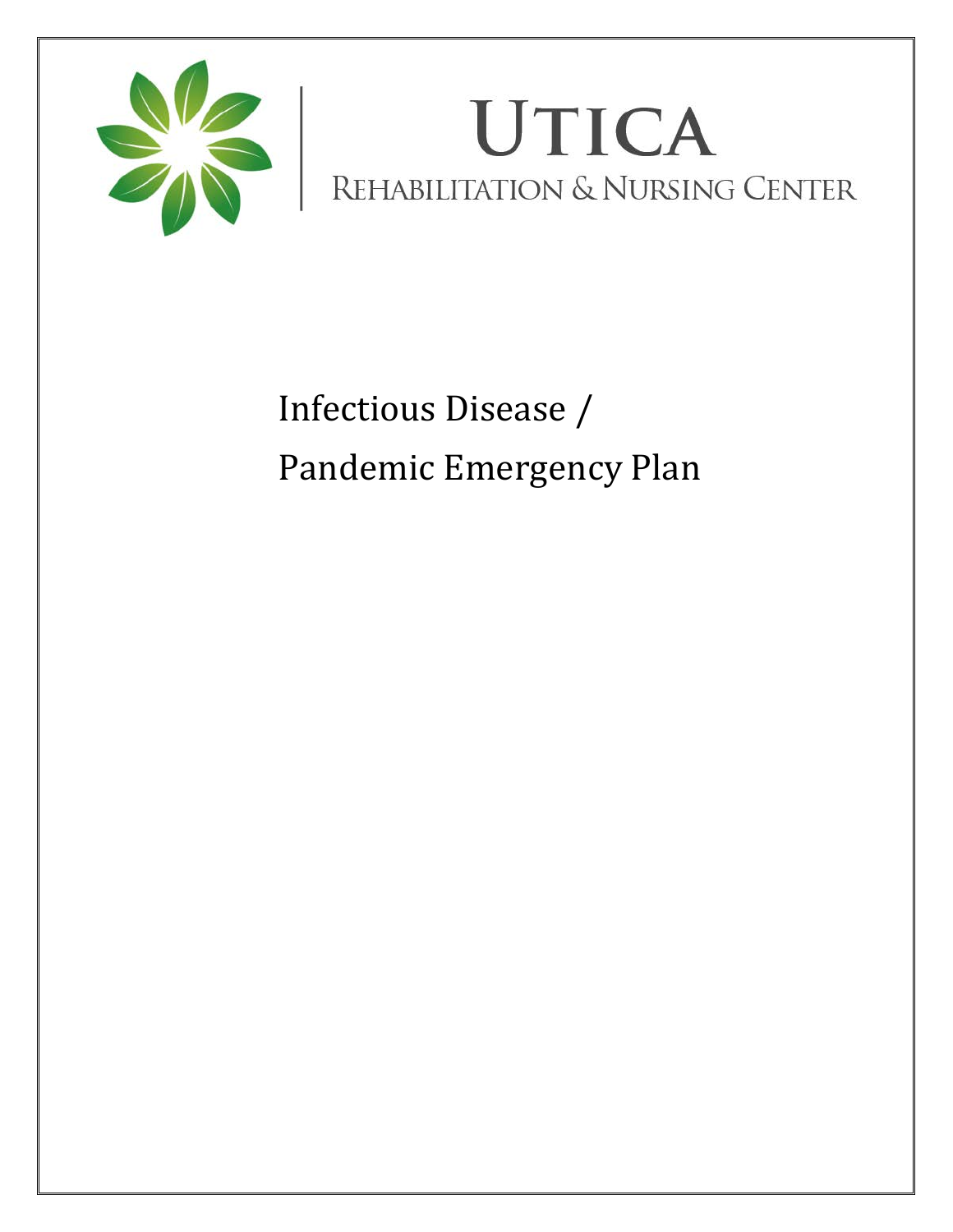

# **UTICA**<br>REHABILITATION & NURSING CENTER

Infectious Disease / Pandemic Emergency Plan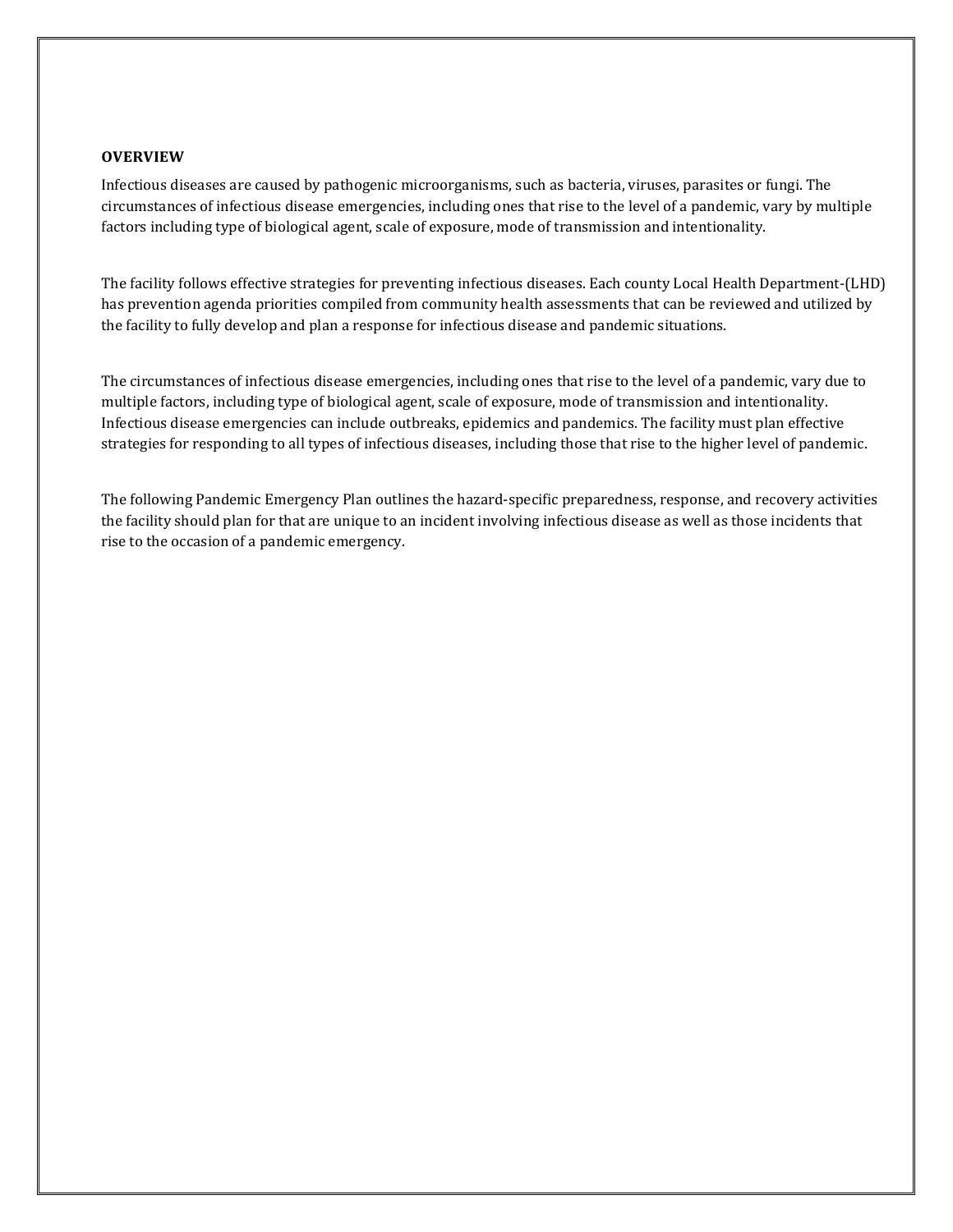#### **OVERVIEW**

Infectious diseases are caused by pathogenic microorganisms, such as bacteria, viruses, parasites or fungi. The circumstances of infectious disease emergencies, including ones that rise to the level of a pandemic, vary by multiple factors including type of biological agent, scale of exposure, mode of transmission and intentionality.

The facility follows effective strategies for preventing infectious diseases. Each county Local Health Department-(LHD) has prevention agenda priorities compiled from community health assessments that can be reviewed and utilized by the facility to fully develop and plan a response for infectious disease and pandemic situations.

The circumstances of infectious disease emergencies, including ones that rise to the level of a pandemic, vary due to multiple factors, including type of biological agent, scale of exposure, mode of transmission and intentionality. Infectious disease emergencies can include outbreaks, epidemics and pandemics. The facility must plan effective strategies for responding to all types of infectious diseases, including those that rise to the higher level of pandemic.

The following Pandemic Emergency Plan outlines the hazard-specific preparedness, response, and recovery activities the facility should plan for that are unique to an incident involving infectious disease as well as those incidents that rise to the occasion of a pandemic emergency.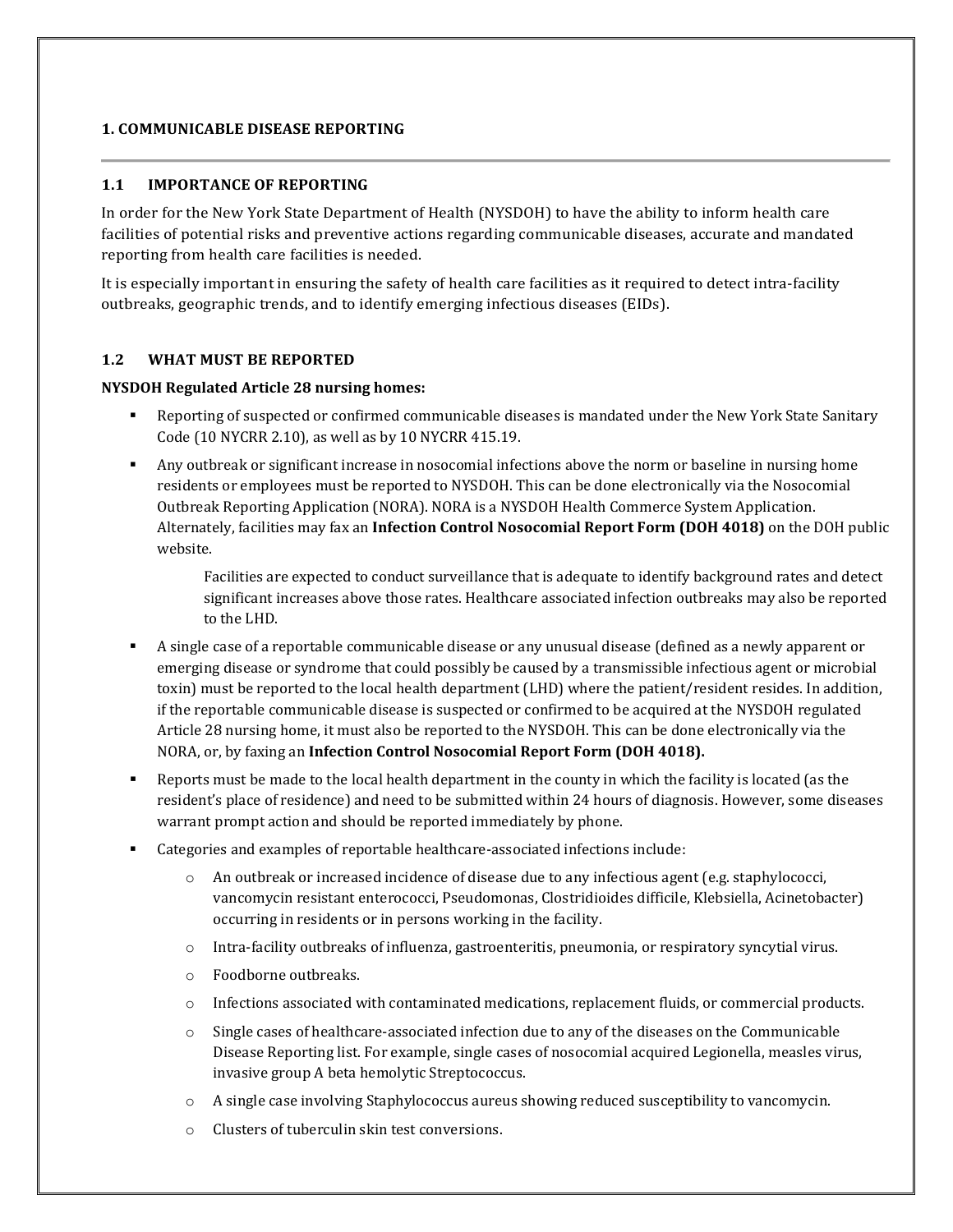#### **1. COMMUNICABLE DISEASE REPORTING**

#### **1.1 IMPORTANCE OF REPORTING**

In order for the New York State Department of Health (NYSDOH) to have the ability to inform health care facilities of potential risks and preventive actions regarding communicable diseases, accurate and mandated reporting from health care facilities is needed.

It is especially important in ensuring the safety of health care facilities as it required to detect intra-facility outbreaks, geographic trends, and to identify emerging infectious diseases (EIDs).

#### **1.2 WHAT MUST BE REPORTED**

#### **NYSDOH Regulated Article 28 nursing homes:**

- Reporting of suspected or confirmed communicable diseases is mandated under the New York State Sanitary Code (10 NYCRR 2.10), as well as by 10 NYCRR 415.19.
- Any outbreak or significant increase in nosocomial infections above the norm or baseline in nursing home residents or employees must be reported to NYSDOH. This can be done electronically via the Nosocomial Outbreak Reporting Application (NORA). NORA is a NYSDOH Health Commerce System Application. Alternately, facilities may fax an **Infection Control Nosocomial Report Form (DOH 4018)** on the DOH public website.

Facilities are expected to conduct surveillance that is adequate to identify background rates and detect significant increases above those rates. Healthcare associated infection outbreaks may also be reported to the LHD.

- A single case of a reportable communicable disease or any unusual disease (defined as a newly apparent or emerging disease or syndrome that could possibly be caused by a transmissible infectious agent or microbial toxin) must be reported to the local health department (LHD) where the patient/resident resides. In addition, if the reportable communicable disease is suspected or confirmed to be acquired at the NYSDOH regulated Article 28 nursing home, it must also be reported to the NYSDOH. This can be done electronically via the NORA, or, by faxing an **Infection Control Nosocomial Report Form (DOH 4018).**
- Reports must be made to the local health department in the county in which the facility is located (as the resident's place of residence) and need to be submitted within 24 hours of diagnosis. However, some diseases warrant prompt action and should be reported immediately by phone.
- Categories and examples of reportable healthcare-associated infections include:
	- $\circ$  An outbreak or increased incidence of disease due to any infectious agent (e.g. staphylococci, vancomycin resistant enterococci, Pseudomonas, Clostridioides difficile, Klebsiella, Acinetobacter) occurring in residents or in persons working in the facility.
	- o Intra-facility outbreaks of influenza, gastroenteritis, pneumonia, or respiratory syncytial virus.
	- o Foodborne outbreaks.
	- $\circ$  Infections associated with contaminated medications, replacement fluids, or commercial products.
	- $\circ$  Single cases of healthcare-associated infection due to any of the diseases on the Communicable Disease Reporting list. For example, single cases of nosocomial acquired Legionella, measles virus, invasive group A beta hemolytic Streptococcus.
	- $\circ$  A single case involving Staphylococcus aureus showing reduced susceptibility to vancomycin.
	- o Clusters of tuberculin skin test conversions.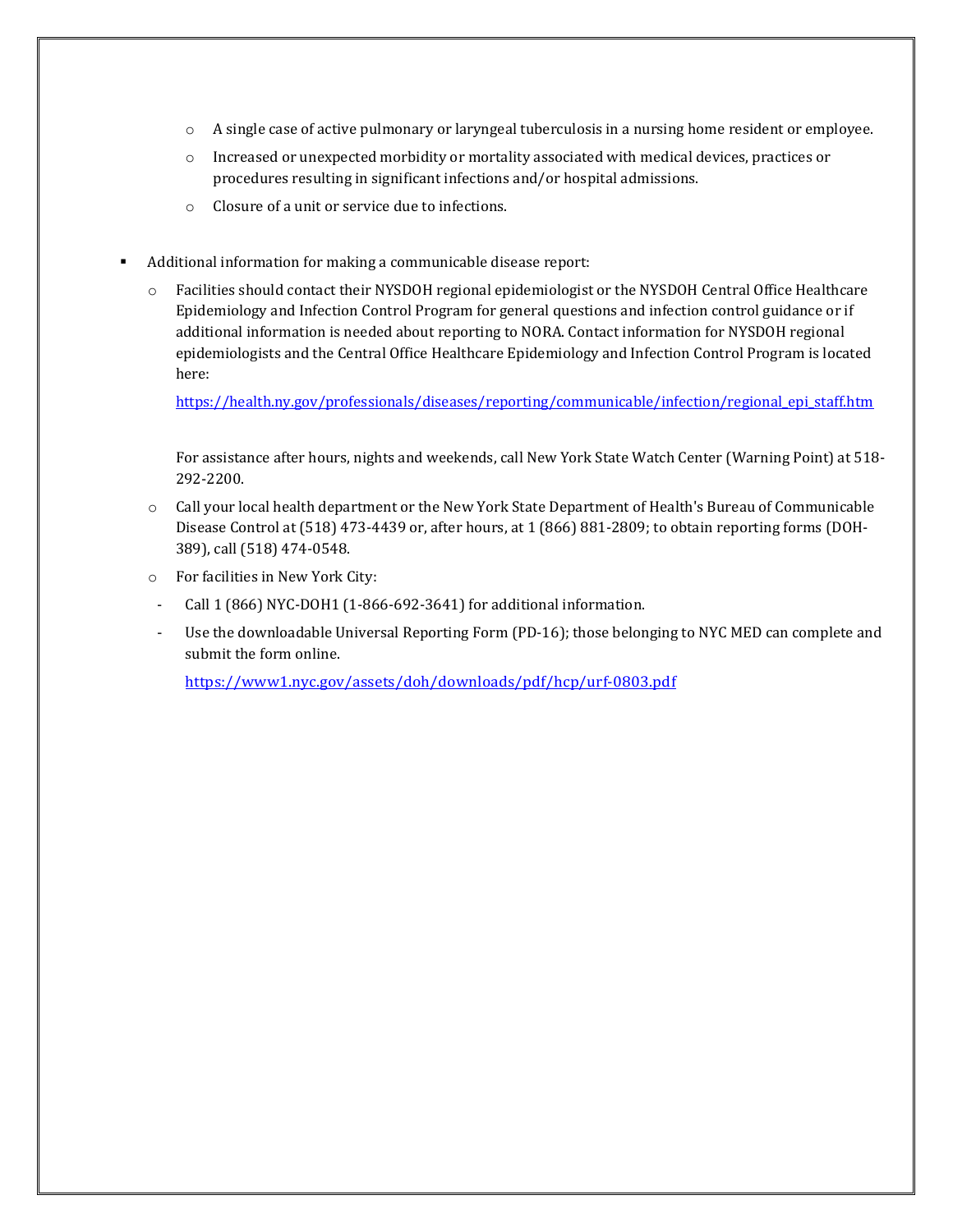- o A single case of active pulmonary or laryngeal tuberculosis in a nursing home resident or employee.
- o Increased or unexpected morbidity or mortality associated with medical devices, practices or procedures resulting in significant infections and/or hospital admissions.
- o Closure of a unit or service due to infections.
- Additional information for making a communicable disease report:
	- o Facilities should contact their NYSDOH regional epidemiologist or the NYSDOH Central Office Healthcare Epidemiology and Infection Control Program for general questions and infection control guidance or if additional information is needed about reporting to NORA. Contact information for NYSDOH regional epidemiologists and the Central Office Healthcare Epidemiology and Infection Control Program is located here:

[https://health.ny.gov/professionals/diseases/reporting/communicable/infection/regional\\_epi\\_staff.htm](https://health.ny.gov/professionals/diseases/reporting/communicable/infection/regional_epi_staff.htm)

For assistance after hours, nights and weekends, call New York State Watch Center (Warning Point) at 518- 292-2200.

- o Call your local health department or the New York State Department of Health's Bureau of Communicable Disease Control at (518) 473-4439 or, after hours, at 1 (866) 881-2809; to obtain reporting forms (DOH-389), call (518) 474-0548.
- o For facilities in New York City:
- Call 1 (866) NYC-DOH1 (1-866-692-3641) for additional information.
- Use the downloadable Universal Reporting Form (PD-16); those belonging to NYC MED can complete and submit the form online.

<https://www1.nyc.gov/assets/doh/downloads/pdf/hcp/urf-0803.pdf>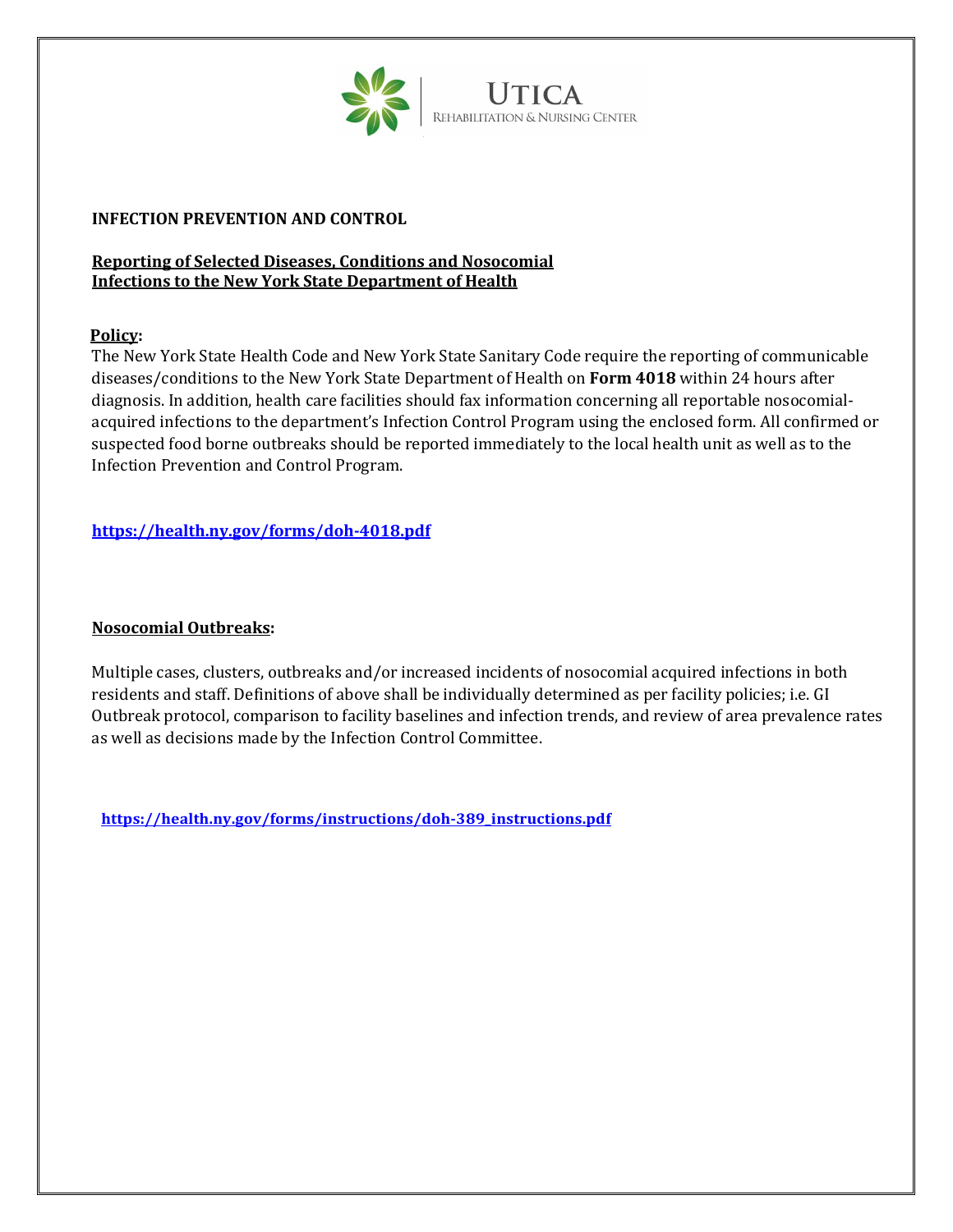

#### **INFECTION PREVENTION AND CONTROL**

#### **Reporting of Selected Diseases, Conditions and Nosocomial Infections to the New York State Department of Health**

#### **Policy:**

The New York State Health Code and New York State Sanitary Code require the reporting of communicable diseases/conditions to the New York State Department of Health on **Form 4018** within 24 hours after diagnosis. In addition, health care facilities should fax information concerning all reportable nosocomialacquired infections to the department's Infection Control Program using the enclosed form. All confirmed or suspected food borne outbreaks should be reported immediately to the local health unit as well as to the Infection Prevention and Control Program.

#### **<https://health.ny.gov/forms/doh-4018.pdf>**

#### **Nosocomial Outbreaks:**

Multiple cases, clusters, outbreaks and/or increased incidents of nosocomial acquired infections in both residents and staff. Definitions of above shall be individually determined as per facility policies; i.e. GI Outbreak protocol, comparison to facility baselines and infection trends, and review of area prevalence rates as well as decisions made by the Infection Control Committee.

**[https://health.ny.gov/forms/instructions/doh-389\\_instructions.pdf](https://health.ny.gov/forms/instructions/doh-389_instructions.pdf)**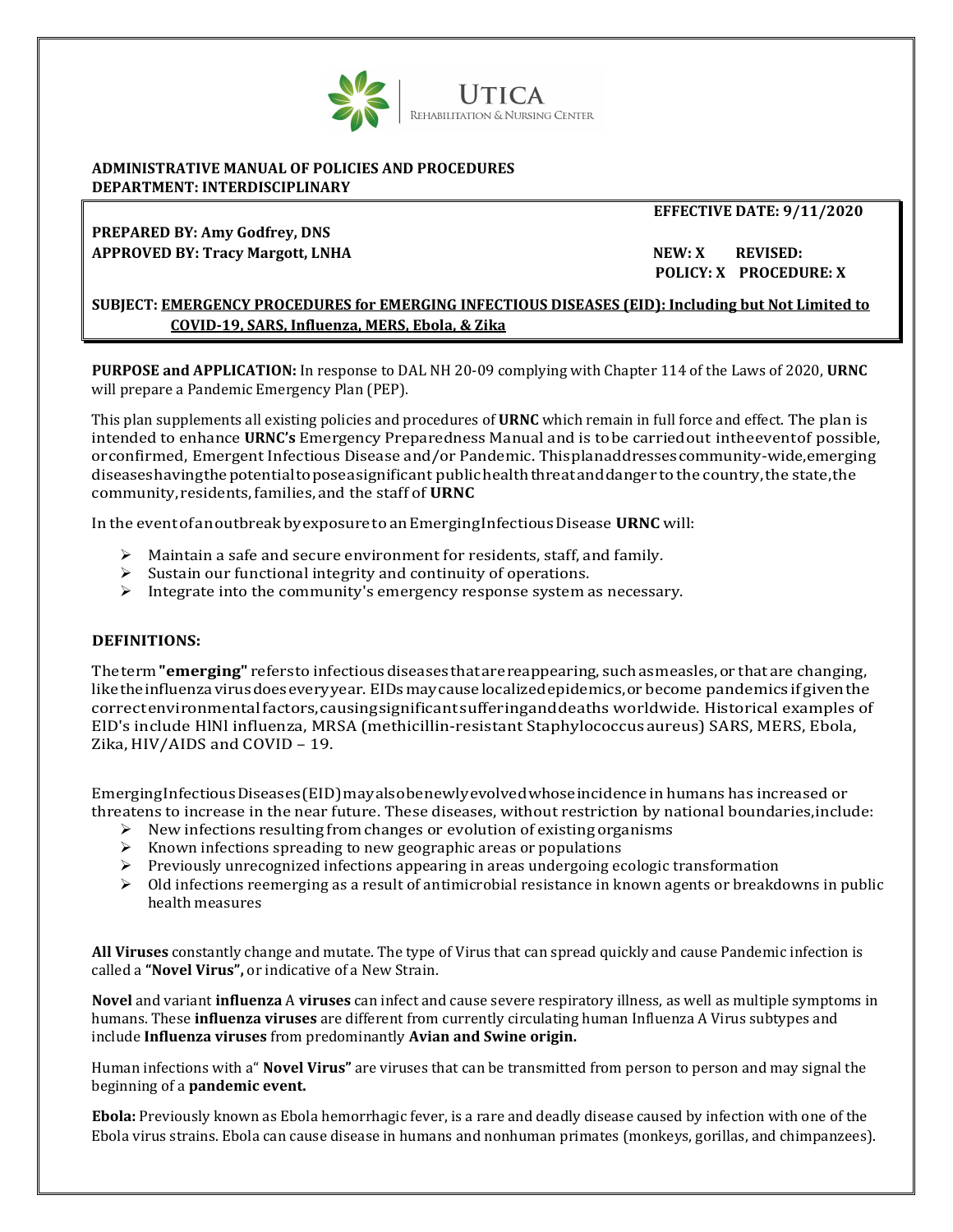

#### **ADMINISTRATIVE MANUAL OF POLICIES AND PROCEDURES DEPARTMENT: INTERDISCIPLINARY**

#### **EFFECTIVE DATE: 9/11/2020**

#### **PREPARED BY: Amy Godfrey, DNS APPROVED BY: Tracy Margott, LNHA NEW: X REVISED:**

**POLICY: X PROCEDURE: X**

#### **SUBJECT: EMERGENCY PROCEDURES for EMERGING INFECTIOUS DISEASES (EID): Including but Not Limited to COVID-19, SARS, Influenza, MERS, Ebola, & Zika**

**PURPOSE and APPLICATION:** In response to DAL NH 20-09 complying with Chapter 114 of the Laws of 2020, **URNC**  will prepare a Pandemic Emergency Plan (PEP).

This plan supplements all existing policies and procedures of **URNC** which remain in full force and effect. The plan is intended to enhance URNC's Emergency Preparedness Manual and is to be carriedout intheevent of possible, orconfirmed, Emergent Infectious Disease and/or Pandemic. Thisplan addressescommunity-wide,emerging diseases having the potential to pose a significant public health threat and danger to the country, the state, the community, residents,families, and the staff of **URNC**

In the event of an outbreak by exposure to an Emerging Infectious Disease URNC will:

- $\triangleright$  Maintain a safe and secure environment for residents, staff, and family.
- $\triangleright$  Sustain our functional integrity and continuity of operations.
- $\triangleright$  Integrate into the community's emergency response system as necessary.

#### **DEFINITIONS:**

The term**"emerging"** refersto infectiousdiseases thatarereappearing, suchasmeasles,or thatare changing, liketheinfluenzavirusdoeseveryyear. EIDsmaycauselocalizedepidemics,or become pandemicsifgiventhe correct environmentalfactors,causingsignificantsufferinganddeaths worldwide. Historical examples of ElD's include HlNl influenza, MRSA (methicillin-resistant Staphylococcus aureus) SARS, MERS, Ebola, Zika, HIV/AIDS and COVID – 19.

EmergingInfectiousDiseases(EID)mayalsobenewlyevolvedwhoseincidence in humans has increased or threatens to increase in the near future. These diseases, without restriction by national boundaries,include:

- $\triangleright$  New infections resulting from changes or evolution of existing organisms
- $\triangleright$  Known infections spreading to new geographic areas or populations
- $\triangleright$  Previously unrecognized infections appearing in areas undergoing ecologic transformation
- $\triangleright$  Old infections reemerging as a result of antimicrobial resistance in known agents or breakdowns in public health measures

**All Viruses** constantly change and mutate. The type of Virus that can spread quickly and cause Pandemic infection is called a **"Novel Virus",** or indicative of a New Strain.

**Novel** and variant **influenza** A **viruses** can infect and cause severe respiratory illness, as well as multiple symptoms in humans. These **influenza viruses** are different from currently circulating human Influenza A Virus subtypes and include **Influenza viruses** from predominantly **Avian and Swine origin.**

Human infections with a" **Novel Virus"** are viruses that can be transmitted from person to person and may signal the beginning of a **pandemic event.**

**Ebola:** Previously known as Ebola hemorrhagic fever, is a rare and deadly disease caused by infection with one of the Ebola virus strains. Ebola can cause disease in humans and nonhuman primates (monkeys, gorillas, and chimpanzees).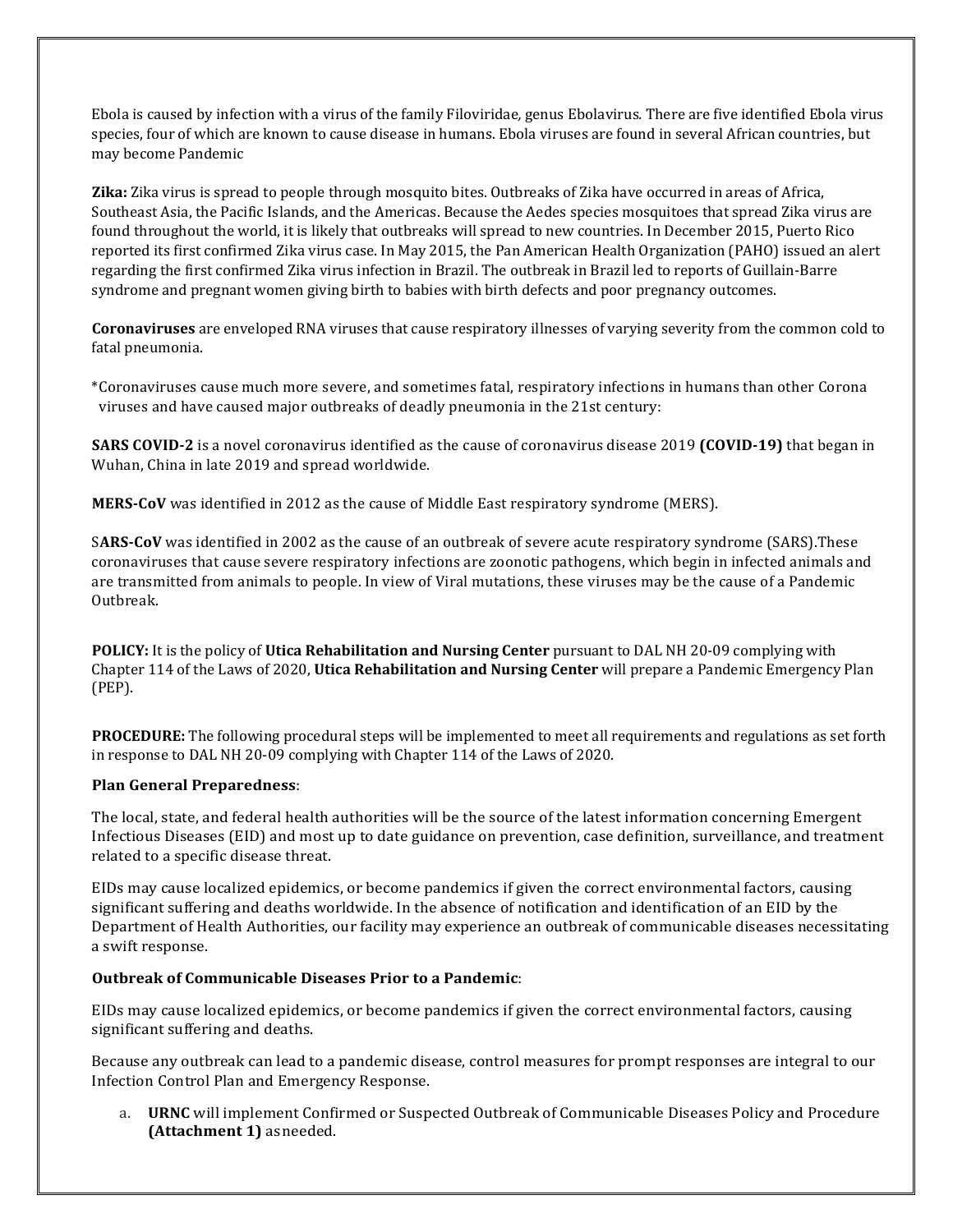Ebola is caused by infection with a virus of the family [Filoviridae](https://www.cdc.gov/vhf/virus-families/filoviridae.html)*,* genus Ebolavirus*.* There are five identified Ebola virus species, four of which are known to cause disease in humans. Ebola viruses are found in several African countries, but may become Pandemic

**Zika:** Zika virus is spread to people through mosquito bites. Outbreaks of Zika have occurred in areas of Africa, Southeast Asia, the Pacific Islands, and the Americas. Because the Aedes species mosquitoes that spread Zika virus are found throughout the world, it is likely that outbreaks will spread to new countries. In December 2015, Puerto Rico reported its first confirmed Zika virus case. In May 2015, the Pan American Health Organization (PAHO) issued an alert regarding the first confirmed Zika virus infection in Brazil. The outbreak in Brazil led to reports of Guillain-Barre syndrome and pregnant women giving birth to babies with birth defects and poor pregnancy outcomes.

**Coronaviruses** are enveloped RNA viruses that cause respiratory illnesses of varying severity from the common cold to fatal pneumonia.

\*Coronaviruses cause much more severe, and sometimes fatal, respiratory infections in humans than other Corona viruses and have caused major outbreaks of deadly pneumonia in the 21st century:

**SARS COVID-2** is a novel coronavirus identified as the cause of coronavirus disease 2019 **(COVID-19)** that began in Wuhan, China in late 2019 and spread worldwide.

**MERS-CoV** was identified in 2012 as the cause of Middle East respiratory syndrome (MERS).

S**ARS-CoV** was identified in 2002 as the cause of an outbreak of severe acute respiratory syndrome (SARS).These coronaviruses that cause severe respiratory infections are zoonotic pathogens, which begin in infected animals and are transmitted from animals to people. In view of Viral mutations, these viruses may be the cause of a Pandemic Outbreak.

**POLICY:** It is the policy of **Utica Rehabilitation and Nursing Center** pursuant to DAL NH 20-09 complying with Chapter 114 of the Laws of 2020, **Utica Rehabilitation and Nursing Center** will prepare a Pandemic Emergency Plan (PEP).

**PROCEDURE:** The following procedural steps will be implemented to meet all requirements and regulations as set forth in response to DAL NH 20-09 complying with Chapter 114 of the Laws of 2020.

#### **Plan General Preparedness**:

The local, state, and federal health authorities will be the source of the latest information concerning Emergent Infectious Diseases (EID) and most up to date guidance on prevention, case definition, surveillance, and treatment related to a specific disease threat.

EIDs may cause localized epidemics, or become pandemics if given the correct environmental factors, causing significant suffering and deaths worldwide. In the absence of notification and identification of an EID by the Department of Health Authorities, our facility may experience an outbreak of communicable diseases necessitating a swift response.

#### **Outbreak of Communicable Diseases Prior to a Pandemic**:

EIDs may cause localized epidemics, or become pandemics if given the correct environmental factors, causing significant suffering and deaths.

Because any outbreak can lead to a pandemic disease, control measures for prompt responses are integral to our Infection Control Plan and Emergency Response.

a. **URNC** will implement Confirmed or Suspected Outbreak of Communicable Diseases Policy and Procedure **(Attachment 1)** asneeded.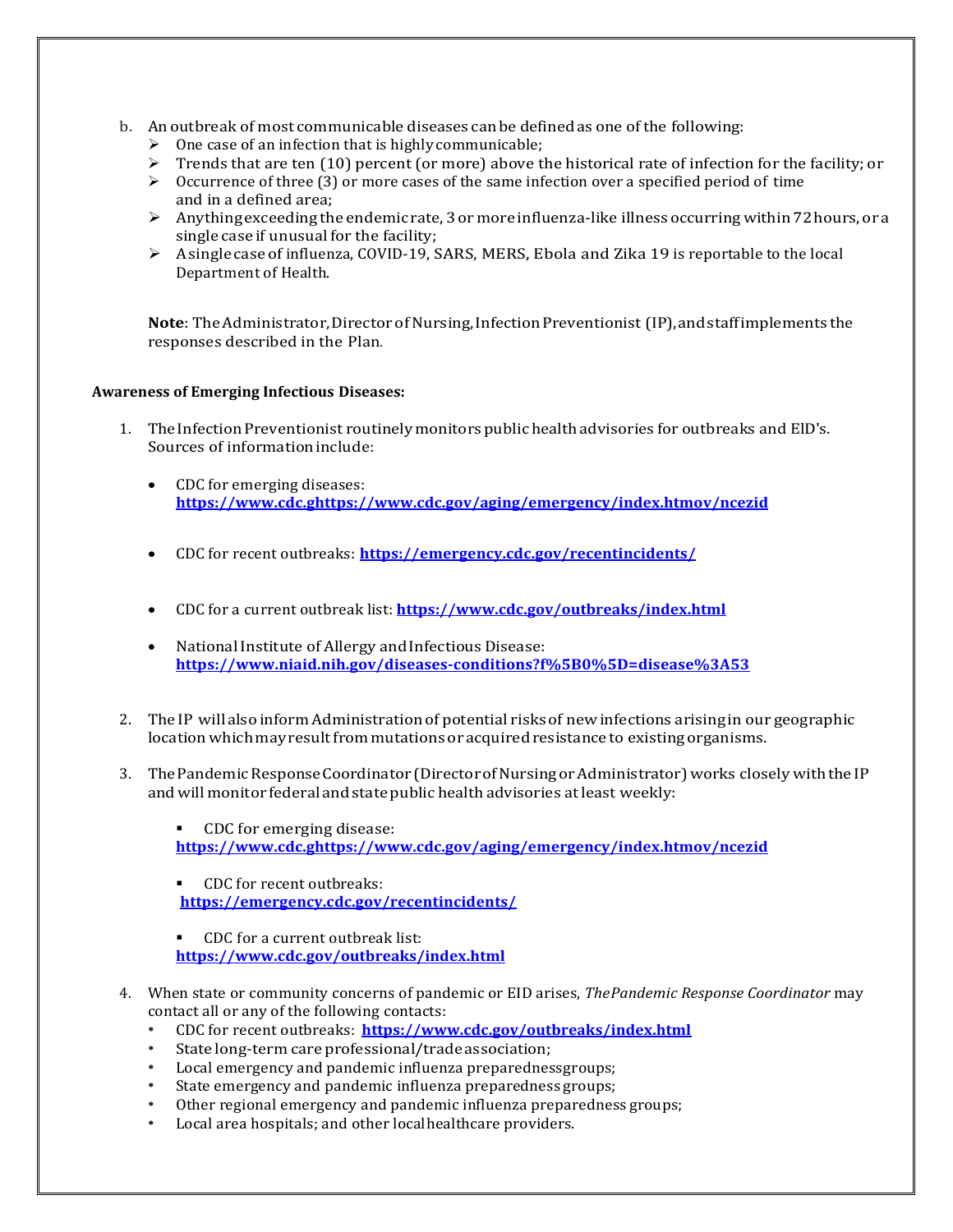- b. Anoutbreak of most communicable diseases canbe definedas one of the following:
	- $\triangleright$  One case of an infection that is highly communicable;
	- $\triangleright$  Trends that are ten (10) percent (or more) above the historical rate of infection for the facility; or
	- $\triangleright$  Occurrence of three (3) or more cases of the same infection over a specified period of time and in a defined area;
	- Anything exceeding the endemic rate, 3 or more influenza-like illness occurring within 72 hours, or a single case if unusual for the facility;
	- $\triangleright$  Asingle case of influenza, COVID-19, SARS, MERS, Ebola and Zika 19 is reportable to the local Department of Health.

**Note**: The Administrator, Director of Nursing, Infection Preventionist (IP), and staffimplements the responses described in the Plan.

#### **Awareness of Emerging Infectious Diseases:**

- 1. The Infection Preventionist routinely monitors public health advisories for outbreaks and ElD's. Sources of informationinclude:
	- CDC for emerging diseases:  **[https://www.cdc.ghttps://www.cdc.gov/aging/emergency/index.htmov/ncezid](https://www.cdc.ghttps/www.cdc.gov/aging/emergency/index.htmov/ncezid)**
	- CDC for recent outbreaks: **<https://emergency.cdc.gov/recentincidents/>**
	- CDC for a current outbreak list: **<https://www.cdc.gov/outbreaks/index.html>**
	- National Institute of Allergy and Infectious Disease: **<https://www.niaid.nih.gov/diseases-conditions?f%5B0%5D=disease%3A53>**
- 2. TheIP willalso inform Administration of potential risksof newinfections arisingin our geographic location which may result from mutations or acquired resistance to existing organisms.
- 3. The Pandemic Response Coordinator (Director of Nursing or Administrator) works closely with the IP and will monitor federal and state public health advisories at least weekly:
	- CDC for emerging disease: **[https://www.cdc.ghttps://www.cdc.gov/aging/emergency/index.htmov/ncezid](https://www.cdc.ghttps/www.cdc.gov/aging/emergency/index.htmov/ncezid)**
	- CDC for recent outbreaks: **<https://emergency.cdc.gov/recentincidents/>**
	- CDC for a current outbreak list: **<https://www.cdc.gov/outbreaks/index.html>**
- 4. When state or community concerns of pandemic or EID arises, *ThePandemic Response Coordinator* may contact all or any of the following contacts:<br>• CDC for recent outbreaks: https://ww
	- CDC for recent outbreaks: **<https://www.cdc.gov/outbreaks/index.html>**
	- State long-term care professional/tradeassociation;
	- Local emergency and pandemic influenza preparednessgroups;
	- State emergency and pandemic influenza preparedness groups;
	- Other regional emergency and pandemic influenza preparedness groups;
	- Local area hospitals; and other localhealthcare providers.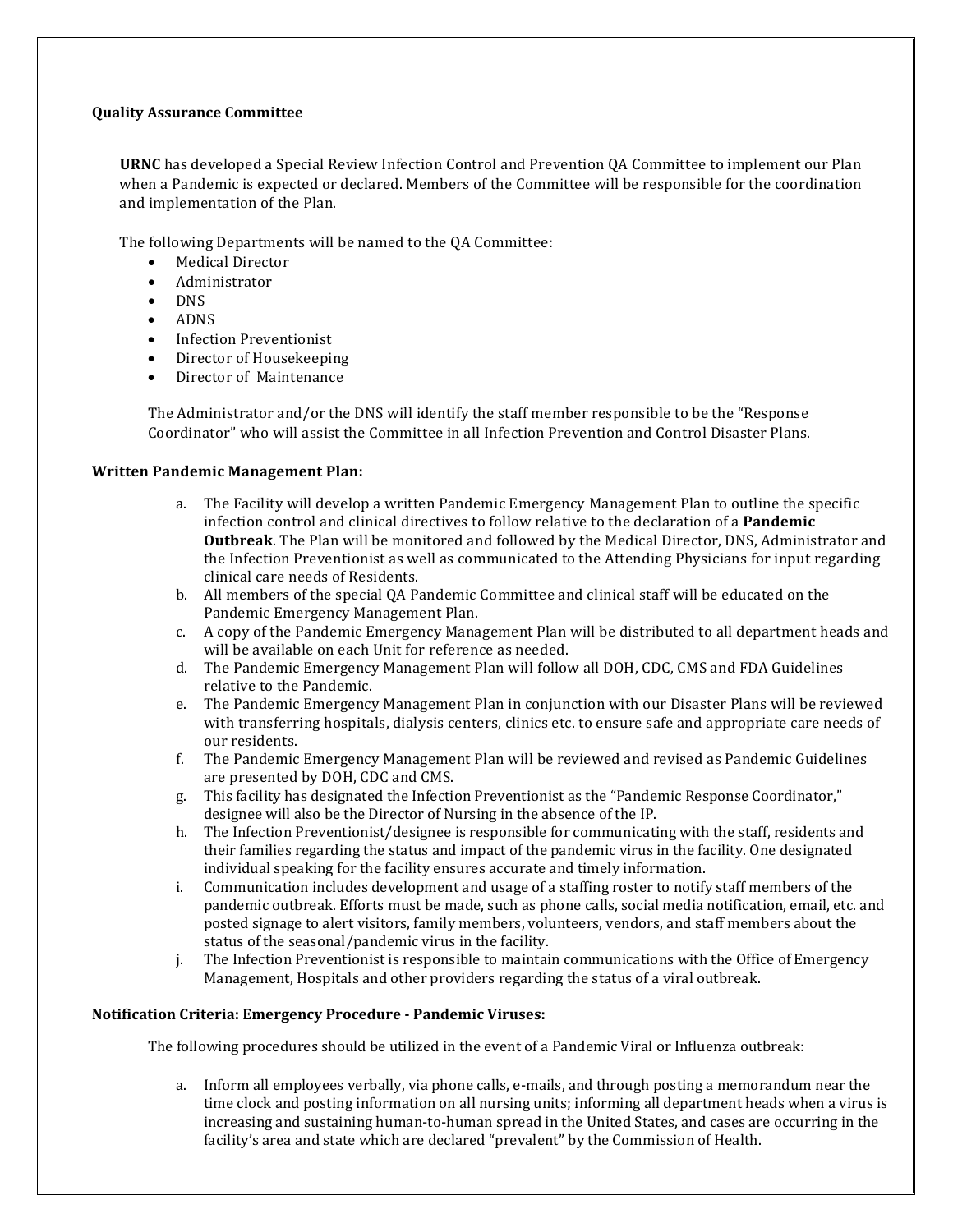#### **Quality Assurance Committee**

**URNC** has developed a Special Review Infection Control and Prevention QA Committee to implement our Plan when a Pandemic is expected or declared. Members of the Committee will be responsible for the coordination and implementation of the Plan.

The following Departments will be named to the QA Committee:

- Medical Director
- Administrator
- DNS
- ADNS
- Infection Preventionist
- Director of Housekeeping
- Director of Maintenance

The Administrator and/or the DNS will identify the staff member responsible to be the "Response Coordinator" who will assist the Committee in all Infection Prevention and Control Disaster Plans.

#### **Written Pandemic Management Plan:**

- a. The Facility will develop a written Pandemic Emergency Management Plan to outline the specific infection control and clinical directives to follow relative to the declaration of a **Pandemic Outbreak**. The Plan will be monitored and followed by the Medical Director, DNS, Administrator and the Infection Preventionist as well as communicated to the Attending Physicians for input regarding clinical care needs of Residents.
- b. All members of the special QA Pandemic Committee and clinical staff will be educated on the Pandemic Emergency Management Plan.
- c. A copy of the Pandemic Emergency Management Plan will be distributed to all department heads and will be available on each Unit for reference as needed.
- d. The Pandemic Emergency Management Plan will follow all DOH, CDC, CMS and FDA Guidelines relative to the Pandemic.
- e. The Pandemic Emergency Management Plan in conjunction with our Disaster Plans will be reviewed with transferring hospitals, dialysis centers, clinics etc. to ensure safe and appropriate care needs of our residents.
- f. The Pandemic Emergency Management Plan will be reviewed and revised as Pandemic Guidelines are presented by DOH, CDC and CMS.
- g. This facility has designated the Infection Preventionist as the "Pandemic Response Coordinator," designee will also be the Director of Nursing in the absence of the IP.
- h. The Infection Preventionist/designee is responsible for communicating with the staff, residents and their families regarding the status and impact of the pandemic virus in the facility. One designated individual speaking for the facility ensures accurate and timely information.
- i. Communication includes development and usage of a staffing roster to notify staff members of the pandemic outbreak. Efforts must be made, such as phone calls, social media notification, email, etc. and posted signage to alert visitors, family members, volunteers, vendors, and staff members about the status of the seasonal/pandemic virus in the facility.
- j. The Infection Preventionist is responsible to maintain communications with the Office of Emergency Management, Hospitals and other providers regarding the status of a viral outbreak.

#### **Notification Criteria: Emergency Procedure - Pandemic Viruses:**

The following procedures should be utilized in the event of a Pandemic Viral or Influenza outbreak:

a. Inform all employees verbally, via phone calls, e-mails, and through posting a memorandum near the time clock and posting information on all nursing units; informing all department heads when a virus is increasing and sustaining human-to-human spread in the United States, and cases are occurring in the facility's area and state which are declared "prevalent" by the Commission of Health.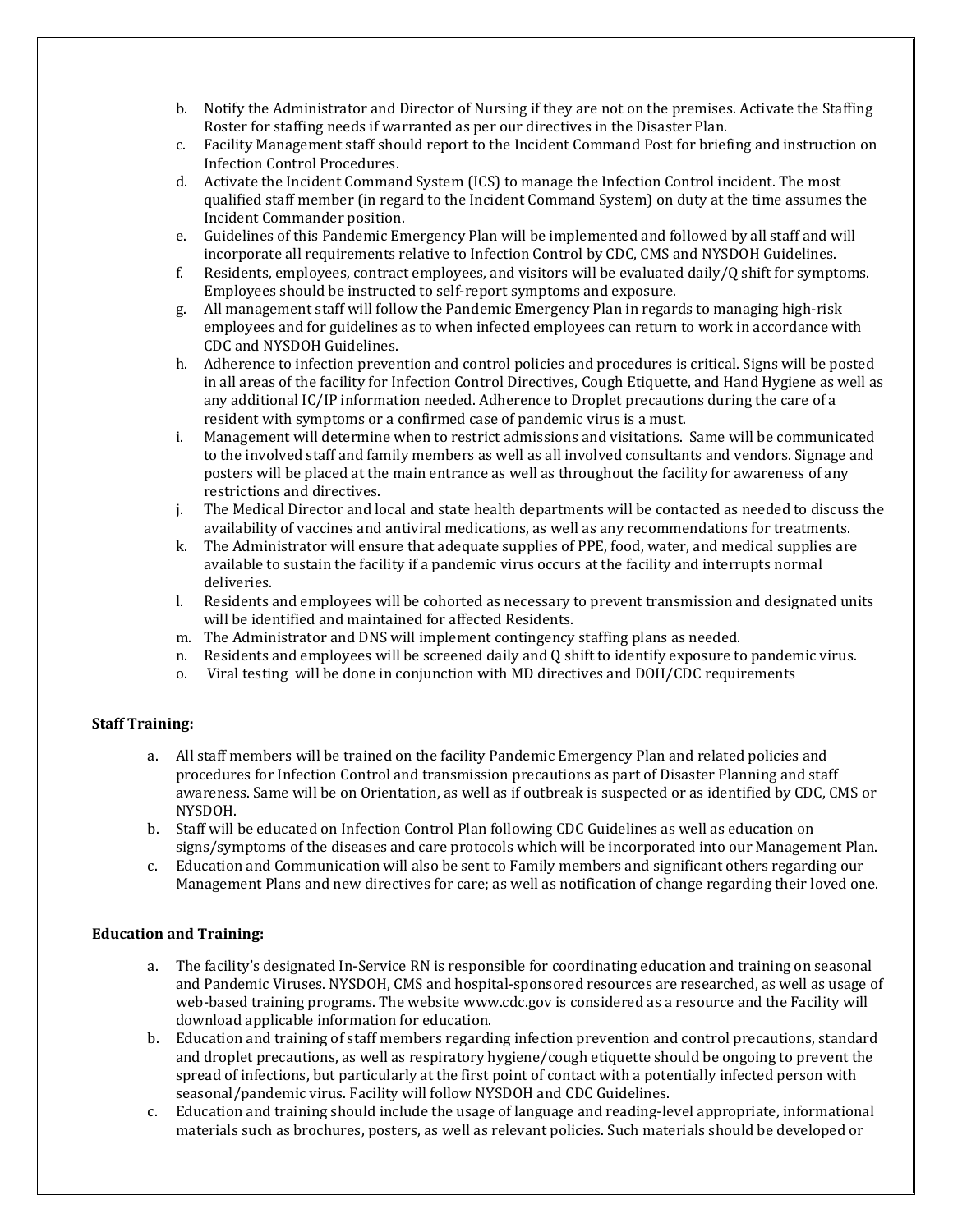- b. Notify the Administrator and Director of Nursing if they are not on the premises. Activate the Staffing Roster for staffing needs if warranted as per our directives in the Disaster Plan.
- c. Facility Management staff should report to the Incident Command Post for briefing and instruction on Infection Control Procedures.
- d. Activate the Incident Command System (ICS) to manage the Infection Control incident. The most qualified staff member (in regard to the Incident Command System) on duty at the time assumes the Incident Commander position.
- e. Guidelines of this Pandemic Emergency Plan will be implemented and followed by all staff and will incorporate all requirements relative to Infection Control by CDC, CMS and NYSDOH Guidelines.
- f. Residents, employees, contract employees, and visitors will be evaluated daily/Q shift for symptoms. Employees should be instructed to self-report symptoms and exposure.
- g. All management staff will follow the Pandemic Emergency Plan in regards to managing high-risk employees and for guidelines as to when infected employees can return to work in accordance with CDC and NYSDOH Guidelines.
- h. Adherence to infection prevention and control policies and procedures is critical. Signs will be posted in all areas of the facility for Infection Control Directives, Cough Etiquette, and Hand Hygiene as well as any additional IC/IP information needed. Adherence to Droplet precautions during the care of a resident with symptoms or a confirmed case of pandemic virus is a must.
- i. Management will determine when to restrict admissions and visitations. Same will be communicated to the involved staff and family members as well as all involved consultants and vendors. Signage and posters will be placed at the main entrance as well as throughout the facility for awareness of any restrictions and directives.
- j. The Medical Director and local and state health departments will be contacted as needed to discuss the availability of vaccines and antiviral medications, as well as any recommendations for treatments.
- k. The Administrator will ensure that adequate supplies of PPE, food, water, and medical supplies are available to sustain the facility if a pandemic virus occurs at the facility and interrupts normal deliveries.
- l. Residents and employees will be cohorted as necessary to prevent transmission and designated units will be identified and maintained for affected Residents.
- m. The Administrator and DNS will implement contingency staffing plans as needed.
- n. Residents and employees will be screened daily and Q shift to identify exposure to pandemic virus.
- o. Viral testing will be done in conjunction with MD directives and DOH/CDC requirements

#### **Staff Training:**

- a. All staff members will be trained on the facility Pandemic Emergency Plan and related policies and procedures for Infection Control and transmission precautions as part of Disaster Planning and staff awareness. Same will be on Orientation, as well as if outbreak is suspected or as identified by CDC, CMS or NYSDOH.
- b. Staff will be educated on Infection Control Plan following CDC Guidelines as well as education on signs/symptoms of the diseases and care protocols which will be incorporated into our Management Plan.
- c. Education and Communication will also be sent to Family members and significant others regarding our Management Plans and new directives for care; as well as notification of change regarding their loved one.

#### **Education and Training:**

- a. The facility's designated In-Service RN is responsible for coordinating education and training on seasonal and Pandemic Viruses. NYSDOH, CMS and hospital-sponsored resources are researched, as well as usage of web-based training programs. The website www.cdc.gov is considered as a resource and the Facility will download applicable information for education.
- b. Education and training of staff members regarding infection prevention and control precautions, standard and droplet precautions, as well as respiratory hygiene/cough etiquette should be ongoing to prevent the spread of infections, but particularly at the first point of contact with a potentially infected person with seasonal/pandemic virus. Facility will follow NYSDOH and CDC Guidelines.
- c. Education and training should include the usage of language and reading-level appropriate, informational materials such as brochures, posters, as well as relevant policies. Such materials should be developed or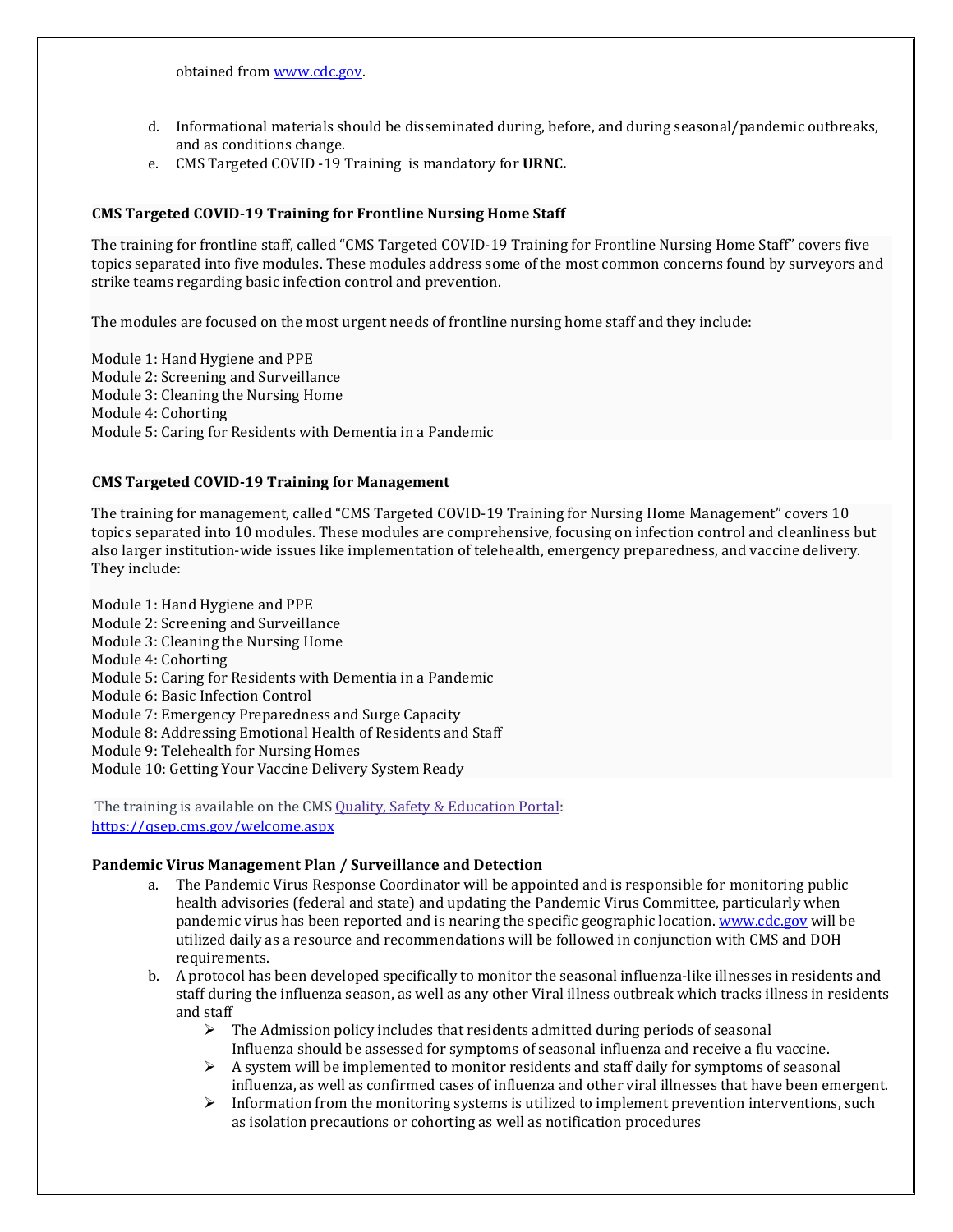- d. Informational materials should be disseminated during, before, and during seasonal/pandemic outbreaks, and as conditions change.
- e. CMS Targeted COVID -19 Training is mandatory for **URNC.**

#### **CMS Targeted COVID-19 Training for Frontline Nursing Home Staff**

The training for frontline staff, called "CMS Targeted COVID-19 Training for Frontline Nursing Home Staff" covers five topics separated into five modules. These modules address some of the most common concerns found by surveyors and strike teams regarding basic infection control and prevention.

The modules are focused on the most urgent needs of frontline nursing home staff and they include:

Module 1: Hand Hygiene and PPE Module 2: Screening and Surveillance Module 3: Cleaning the Nursing Home Module 4: Cohorting Module 5: Caring for Residents with Dementia in a Pandemic

#### **CMS Targeted COVID-19 Training for Management**

The training for management, called "CMS Targeted COVID-19 Training for Nursing Home Management" covers 10 topics separated into 10 modules. These modules are comprehensive, focusing on infection control and cleanliness but also larger institution-wide issues like implementation of telehealth, emergency preparedness, and vaccine delivery. They include:

Module 1: Hand Hygiene and PPE Module 2: Screening and Surveillance Module 3: Cleaning the Nursing Home Module 4: Cohorting Module 5: Caring for Residents with Dementia in a Pandemic Module 6: Basic Infection Control Module 7: Emergency Preparedness and Surge Capacity Module 8: Addressing Emotional Health of Residents and Staff Module 9: Telehealth for Nursing Homes Module 10: Getting Your Vaccine Delivery System Ready

The training is available on the CMS [Quality, Safety & Education Portal:](https://qsep.cms.gov/welcome.aspx) <https://qsep.cms.gov/welcome.aspx>

#### **Pandemic Virus Management Plan / Surveillance and Detection**

- a. The Pandemic Virus Response Coordinator will be appointed and is responsible for monitoring public health advisories (federal and state) and updating the Pandemic Virus Committee, particularly when pandemic virus has been reported and is nearing the specific geographic location. [www.cdc.gov](http://www.cdc.gov/) will be utilized daily as a resource and recommendations will be followed in conjunction with CMS and DOH requirements.
- b. A protocol has been developed specifically to monitor the seasonal influenza-like illnesses in residents and staff during the influenza season, as well as any other Viral illness outbreak which tracks illness in residents and staff
	- $\triangleright$  The Admission policy includes that residents admitted during periods of seasonal Influenza should be assessed for symptoms of seasonal influenza and receive a flu vaccine.
	- $\triangleright$  A system will be implemented to monitor residents and staff daily for symptoms of seasonal influenza, as well as confirmed cases of influenza and other viral illnesses that have been emergent.
	- $\triangleright$  Information from the monitoring systems is utilized to implement prevention interventions, such as isolation precautions or cohorting as well as notification procedures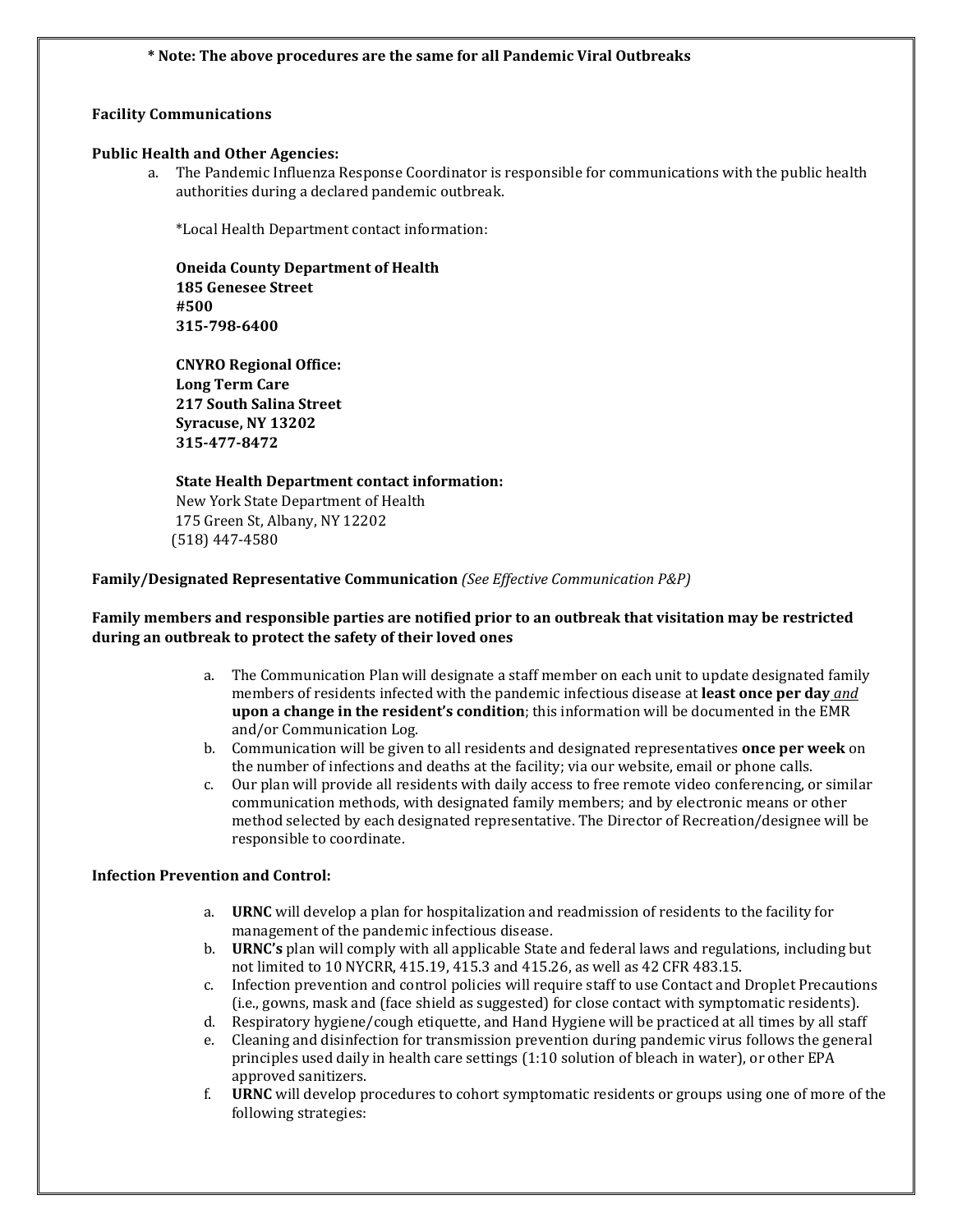**\* Note: The above procedures are the same for all Pandemic Viral Outbreaks**

#### **Facility Communications**

#### **Public Health and Other Agencies:**

a. The Pandemic Influenza Response Coordinator is responsible for communications with the public health authorities during a declared pandemic outbreak.

\*Local Health Department contact information:

**Oneida County Department of Health 185 Genesee Street #500 315-798-6400**

**CNYRO Regional Office: Long Term Care 217 South Salina Street Syracuse, NY 13202 315-477-8472**

#### **State Health Department contact information:**

New York State Department of Health 175 Green St, Albany, NY 12202 (518) 447-4580

#### **Family/Designated Representative Communication** *(See Effective Communication P&P)*

#### **Family members and responsible parties are notified prior to an outbreak that visitation may be restricted during an outbreak to protect the safety of their loved ones**

- a. The Communication Plan will designate a staff member on each unit to update designated family members of residents infected with the pandemic infectious disease at **least once per day** *and* **upon a change in the resident's condition**; this information will be documented in the EMR and/or Communication Log.
- b. Communication will be given to all residents and designated representatives **once per week** on the number of infections and deaths at the facility; via our website, email or phone calls.
- c. Our plan will provide all residents with daily access to free remote video conferencing, or similar communication methods, with designated family members; and by electronic means or other method selected by each designated representative. The Director of Recreation/designee will be responsible to coordinate.

#### **Infection Prevention and Control:**

- a. **URNC** will develop a plan for hospitalization and readmission of residents to the facility for management of the pandemic infectious disease.
- b. **URNC's** plan will comply with all applicable State and federal laws and regulations, including but not limited to 10 NYCRR, 415.19, 415.3 and 415.26, as well as 42 CFR 483.15.
- c. Infection prevention and control policies will require staff to use Contact and Droplet Precautions (i.e., gowns, mask and (face shield as suggested) for close contact with symptomatic residents).
- d. Respiratory hygiene/cough etiquette, and Hand Hygiene will be practiced at all times by all staff
- e. Cleaning and disinfection for transmission prevention during pandemic virus follows the general principles used daily in health care settings (1:10 solution of bleach in water), or other EPA approved sanitizers.
- f. **URNC** will develop procedures to cohort symptomatic residents or groups using one of more of the following strategies: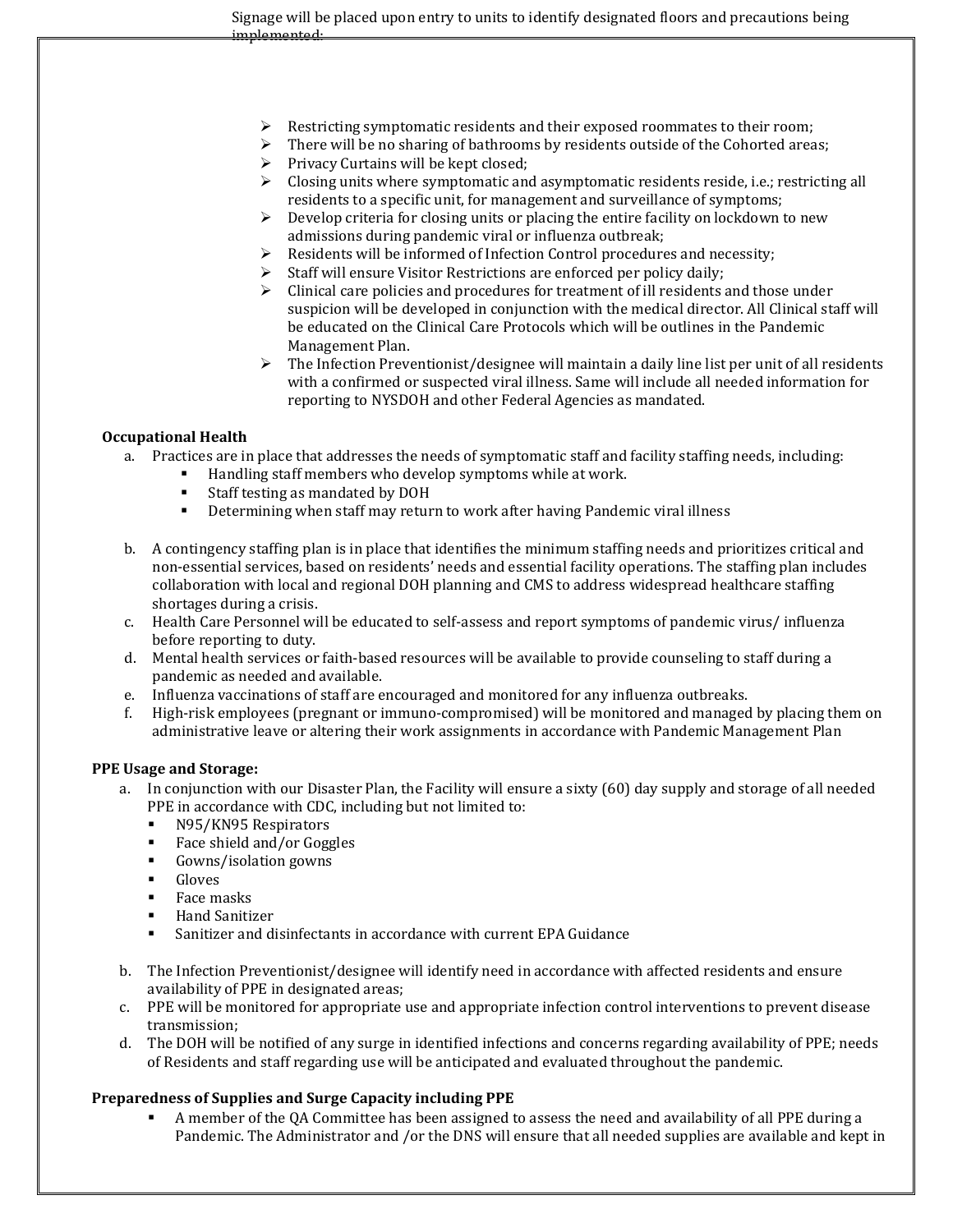- $\triangleright$  Restricting symptomatic residents and their exposed roommates to their room;
- $\triangleright$  There will be no sharing of bathrooms by residents outside of the Cohorted areas;
- $\triangleright$  Privacy Curtains will be kept closed;
- $\triangleright$  Closing units where symptomatic and asymptomatic residents reside, i.e.; restricting all residents to a specific unit, for management and surveillance of symptoms;
- $\triangleright$  Develop criteria for closing units or placing the entire facility on lockdown to new admissions during pandemic viral or influenza outbreak;
- Residents will be informed of Infection Control procedures and necessity;<br>  $\triangleright$  Staff will ensure Visitor Restrictions are enforced per policy daily:
- $\geq$  Staff will ensure Visitor Restrictions are enforced per policy daily;<br> $\geq$  Clinical care policies and procedures for treatment of ill residents and
- Clinical care policies and procedures for treatment of ill residents and those under suspicion will be developed in conjunction with the medical director. All Clinical staff will be educated on the Clinical Care Protocols which will be outlines in the Pandemic Management Plan.
- $\triangleright$  The Infection Preventionist/designee will maintain a daily line list per unit of all residents with a confirmed or suspected viral illness. Same will include all needed information for reporting to NYSDOH and other Federal Agencies as mandated.

#### **Occupational Health**

- a. Practices are in place that addresses the needs of symptomatic staff and facility staffing needs, including:
	- Handling staff members who develop symptoms while at work.
		- Staff testing as mandated by DOH
		- Determining when staff may return to work after having Pandemic viral illness
- b. A contingency staffing plan is in place that identifies the minimum staffing needs and prioritizes critical and non-essential services, based on residents' needs and essential facility operations. The staffing plan includes collaboration with local and regional DOH planning and CMS to address widespread healthcare staffing shortages during a crisis.
- c. Health Care Personnel will be educated to self-assess and report symptoms of pandemic virus/ influenza before reporting to duty.
- d. Mental health services or faith-based resources will be available to provide counseling to staff during a pandemic as needed and available.
- e. Influenza vaccinations of staff are encouraged and monitored for any influenza outbreaks.
- f. High-risk employees (pregnant or immuno-compromised) will be monitored and managed by placing them on administrative leave or altering their work assignments in accordance with Pandemic Management Plan

#### **PPE Usage and Storage:**

- a. In conjunction with our Disaster Plan, the Facility will ensure a sixty (60) day supply and storage of all needed PPE in accordance with CDC, including but not limited to:<br>• N95/KN95 Respirators
	- N95/KN95 Respirators<br>Eace shield and/or Gogge
	- Face shield and/or Goggles
	- Gowns/isolation gowns
	- $Gloves$ <br> $Foseom$
	- Face masks
	- Hand Sanitizer
	- Sanitizer and disinfectants in accordance with current EPA Guidance
- b. The Infection Preventionist/designee will identify need in accordance with affected residents and ensure availability of PPE in designated areas;
- c. PPE will be monitored for appropriate use and appropriate infection control interventions to prevent disease transmission;
- d. The DOH will be notified of any surge in identified infections and concerns regarding availability of PPE; needs of Residents and staff regarding use will be anticipated and evaluated throughout the pandemic.

#### **Preparedness of Supplies and Surge Capacity including PPE**

 A member of the QA Committee has been assigned to assess the need and availability of all PPE during a Pandemic. The Administrator and /or the DNS will ensure that all needed supplies are available and kept in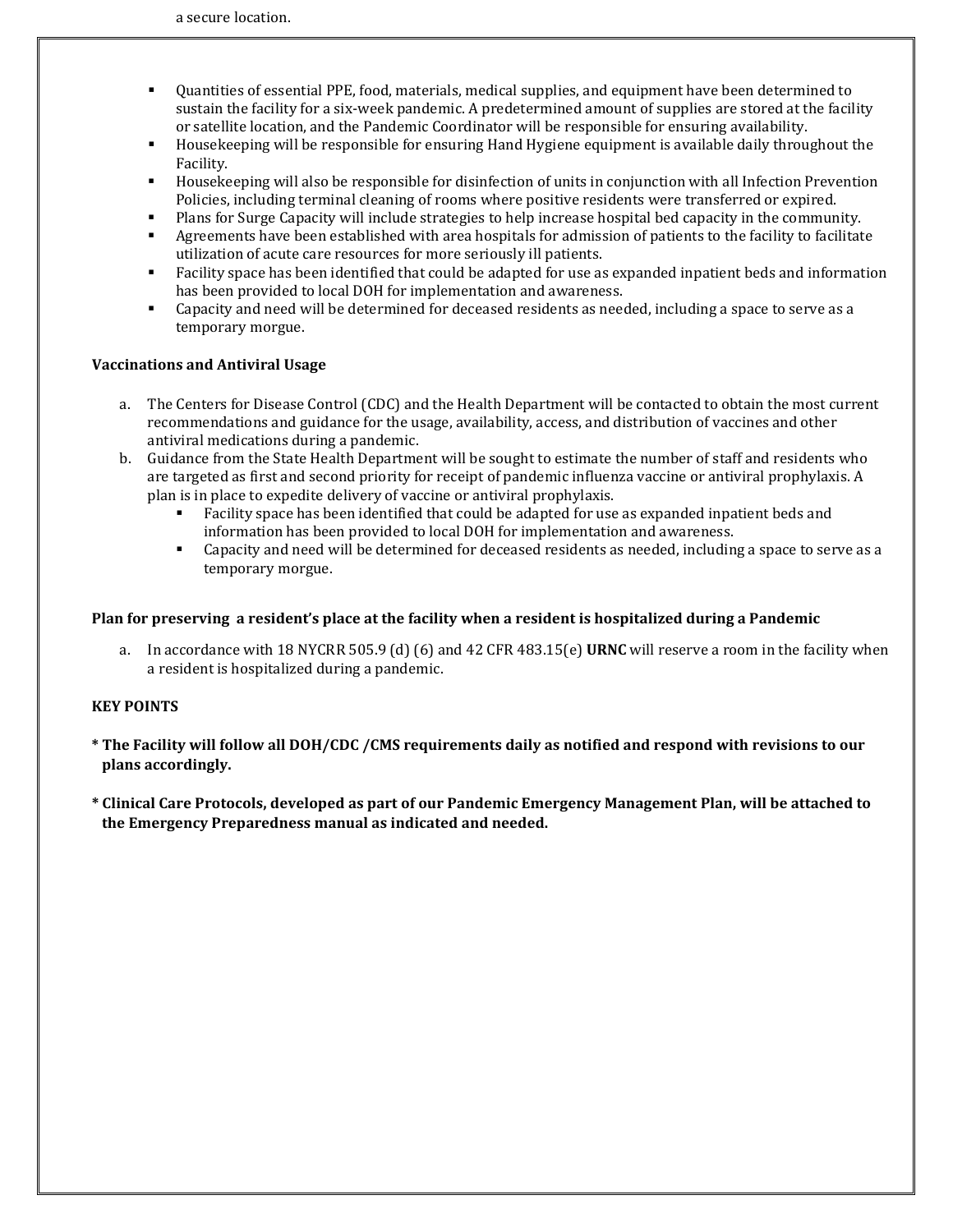- Quantities of essential PPE, food, materials, medical supplies, and equipment have been determined to sustain the facility for a six-week pandemic. A predetermined amount of supplies are stored at the facility or satellite location, and the Pandemic Coordinator will be responsible for ensuring availability.
- Housekeeping will be responsible for ensuring Hand Hygiene equipment is available daily throughout the Facility.
- Housekeeping will also be responsible for disinfection of units in conjunction with all Infection Prevention Policies, including terminal cleaning of rooms where positive residents were transferred or expired.
- Plans for Surge Capacity will include strategies to help increase hospital bed capacity in the community.<br>Agreements have been established with area bospitals for admission of patients to the facility to facilitat
- Agreements have been established with area hospitals for admission of patients to the facility to facilitate utilization of acute care resources for more seriously ill patients.
- Facility space has been identified that could be adapted for use as expanded inpatient beds and information has been provided to local DOH for implementation and awareness.
- Capacity and need will be determined for deceased residents as needed, including a space to serve as a temporary morgue.

#### **Vaccinations and Antiviral Usage**

- a. The Centers for Disease Control (CDC) and the Health Department will be contacted to obtain the most current recommendations and guidance for the usage, availability, access, and distribution of vaccines and other antiviral medications during a pandemic.
- b. Guidance from the State Health Department will be sought to estimate the number of staff and residents who are targeted as first and second priority for receipt of pandemic influenza vaccine or antiviral prophylaxis. A plan is in place to expedite delivery of vaccine or antiviral prophylaxis.
	- Facility space has been identified that could be adapted for use as expanded inpatient beds and information has been provided to local DOH for implementation and awareness.
	- Capacity and need will be determined for deceased residents as needed, including a space to serve as a temporary morgue.

#### **Plan for preserving a resident's place at the facility when a resident is hospitalized during a Pandemic**

a. In accordance with 18 NYCRR 505.9 (d) (6) and 42 CFR 483.15(e) **URNC** will reserve a room in the facility when a resident is hospitalized during a pandemic.

#### **KEY POINTS**

- **\* The Facility will follow all DOH/CDC /CMS requirements daily as notified and respond with revisions to our plans accordingly.**
- **\* Clinical Care Protocols, developed as part of our Pandemic Emergency Management Plan, will be attached to the Emergency Preparedness manual as indicated and needed.**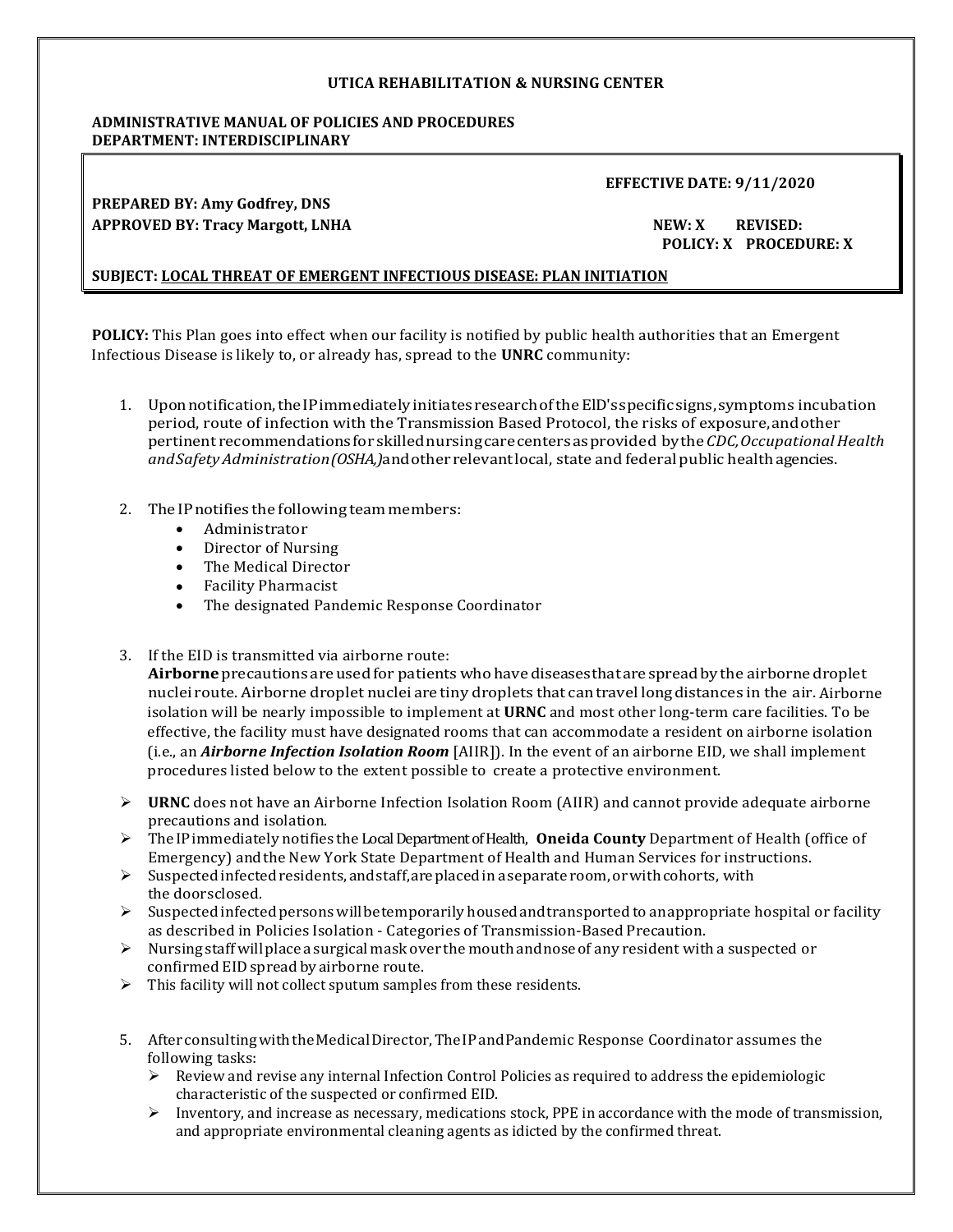#### **UTICA REHABILITATION & NURSING CENTER**

#### **ADMINISTRATIVE MANUAL OF POLICIES AND PROCEDURES DEPARTMENT: INTERDISCIPLINARY**

#### **EFFECTIVE DATE: 9/11/2020**

#### **PREPARED BY: Amy Godfrey, DNS**  APPROVED BY: Tracy Margott, LNHA **NEW: X** REVISED:

## **POLICY: X PROCEDURE: X**

#### **SUBJECT: LOCAL THREAT OF EMERGENT INFECTIOUS DISEASE: PLAN INITIATION**

**POLICY:** This Plan goes into effect when our facility is notified by public health authorities that an Emergent Infectious Disease is likely to, or already has, spread to the **UNRC** community:

- 1. Uponnotification,theIPimmediately initiates researchofthe ElD'sspecificsigns,symptoms incubation period, route of infection with the Transmission Based Protocol, the risks of exposure,andother pertinent recommendationsfor skillednursingcarecentersasprovided bythe*CDC,OccupationalHealth andSafetyAdministration(OSHA,)*andotherrelevantlocal, state and federal public health agencies.
- 2. The IP notifies the following team members:
	- Administrator<br>• Director of Nurs
	- Director of Nursing
	- The Medical Director
	- Facility Pharmacist<br>• The designated Pane
	- The designated Pandemic Response Coordinator
- 3. If the EID is transmitted via airborne route:

**Airborne**precautions areusedfor patientswhohavediseasesthatarespreadbythe airbornedroplet nuclei route. Airborne droplet nuclei are tiny droplets that cantravel longdistances in the air. Airborne isolation will be nearly impossible to implement at **URNC** and most other long-term care facilities. To be effective, the facility must have designated rooms that can accommodate a resident on airborne isolation (i.e., an *Airborne Infection Isolation Room* [AIIR]). In the event of an airborne EID, we shall implement procedures listed below to the extent possible to create a protective environment.

- $\triangleright$  **URNC** does not have an Airborne Infection Isolation Room (AIIR) and cannot provide adequate airborne precautions and isolation.
- TheIPimmediately notifies the Local Department of Health, **Oneida County** Department of Health (office of Emergency) andthe New York State Department of Health and Human Services for instructions.
- $\triangleright$  Suspected infected residents, and staff, are placed in a separate room, or with cohorts, with the doorsclosed.
- $\triangleright$  Suspected infected persons will betemporarily housed and transported to anappropriate hospital or facility as described in Policies Isolation - Categories of Transmission-Based Precaution.
- $\triangleright$  Nursing staff will place a surgical mask over the mouth and nose of any resident with a suspected or confirmed EID spread by airborne route.
- $\triangleright$  This facility will not collect sputum samples from these residents.
- 5. AfterconsultingwiththeMedicalDirector,TheIPandPandemic Response Coordinator assumes the following tasks:
	- $\triangleright$  Review and revise any internal Infection Control Policies as required to address the epidemiologic characteristic of the suspected or confirmed EID.
	- Inventory, and increase as necessary, medications stock, PPE in accordance with the mode of transmission, and appropriate environmental cleaning agents as idicted by the confirmed threat.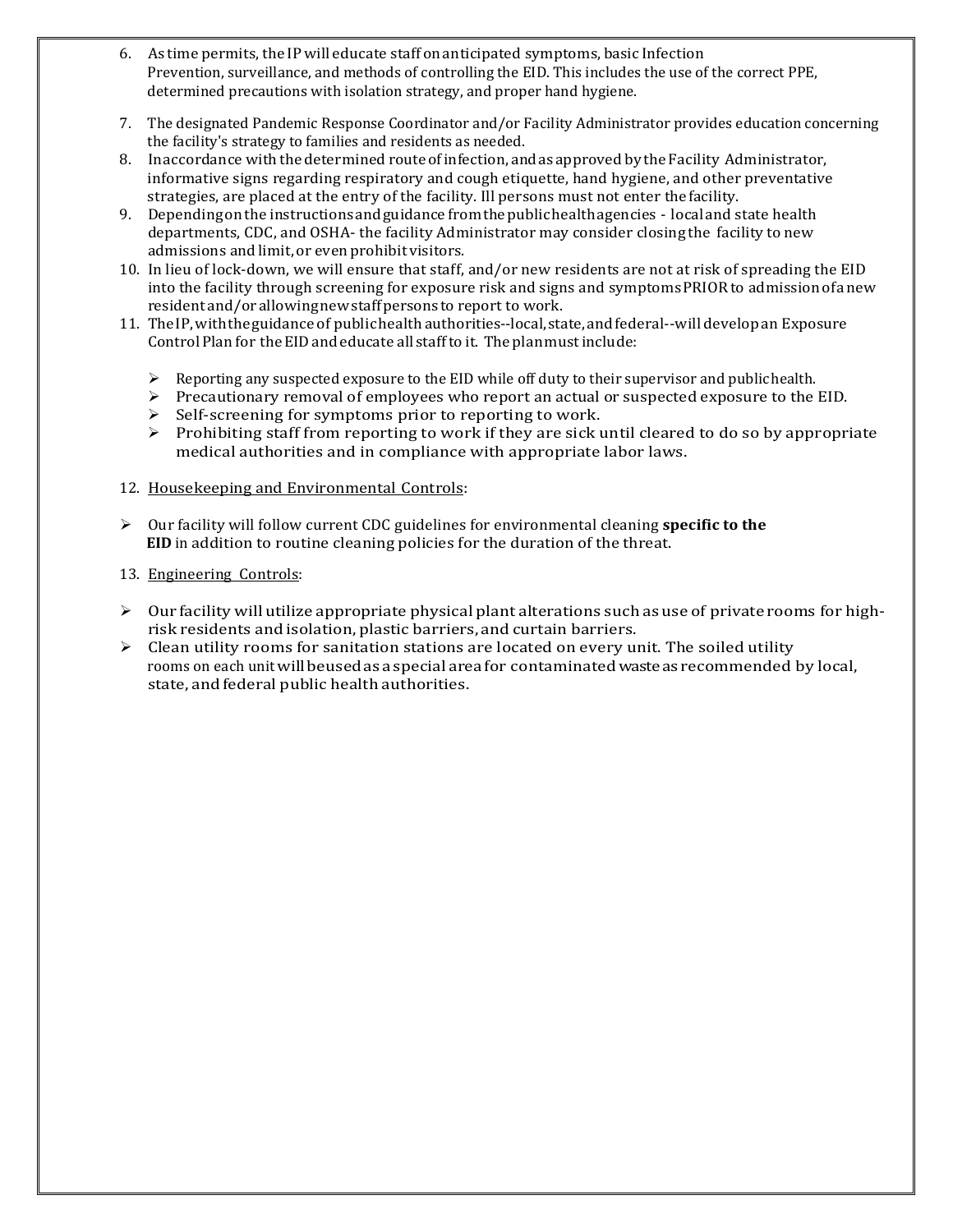- 6. As time permits, the IP will educate staffonanticipated symptoms, basic Infection Prevention, surveillance, and methods of controlling the EID. This includes the use of the correct PPE, determined precautions with isolation strategy, and proper hand hygiene.
- 7. The designated Pandemic Response Coordinator and/or Facility Administrator provides education concerning the facility's strategy to families and residents as needed.
- 8. Inaccordance with thedetermined routeofinfection, andasapproved by the Facility Administrator, informative signs regarding respiratory and cough etiquette, hand hygiene, and other preventative strategies, are placed at the entry of the facility. Ill persons must not enter thefacility.
- 9. Dependingonthe instructions andguidance fromthepublichealthagencies localand state health departments, CDC, and OSHA- the facility Administrator may consider closing the facility to new admissions and limit, or even prohibit visitors.
- 10. In lieu of lock-down, we will ensure that staff, and/or new residents are not at risk of spreading the EID into the facility through screening for exposure risk and signs and symptomsPRIORto admissionofanew resident and/orallowingnewstaffpersons to report to work.
- 11. TheIP,withtheguidance of publichealth authorities--local,state,andfederal--will developan Exposure Control Plan for the EID and educate all staff to it. The plan must include:
	- $\triangleright$  Reporting any suspected exposure to the EID while off duty to their supervisor and publichealth.
	- Precautionary removal of employees who report an actual or suspected exposure to the EID.<br>
	Self-screening for symptoms prior to reporting to work
	- $\triangleright$  Self-screening for symptoms prior to reporting to work.<br> $\triangleright$  Prohibiting staff from reporting to work if they are sick u
	- Prohibiting staff from reporting to work if they are sick until cleared to do so by appropriate medical authorities and in compliance with appropriate labor laws.
- 12. Housekeeping and Environmental Controls:
- Our facility will follow current CDC guidelines for environmental cleaning **specific to the EID** in addition to routine cleaning policies for the duration of the threat.
- 13. Engineering Controls:
- $\triangleright$  Our facility will utilize appropriate physical plant alterations such as use of private rooms for highrisk residents and isolation, plastic barriers, and curtain barriers.
- $\triangleright$  Clean utility rooms for sanitation stations are located on every unit. The soiled utility rooms on each unitwillbeusedasa special area for contaminatedwasteas recommended by local, state, and federal public health authorities.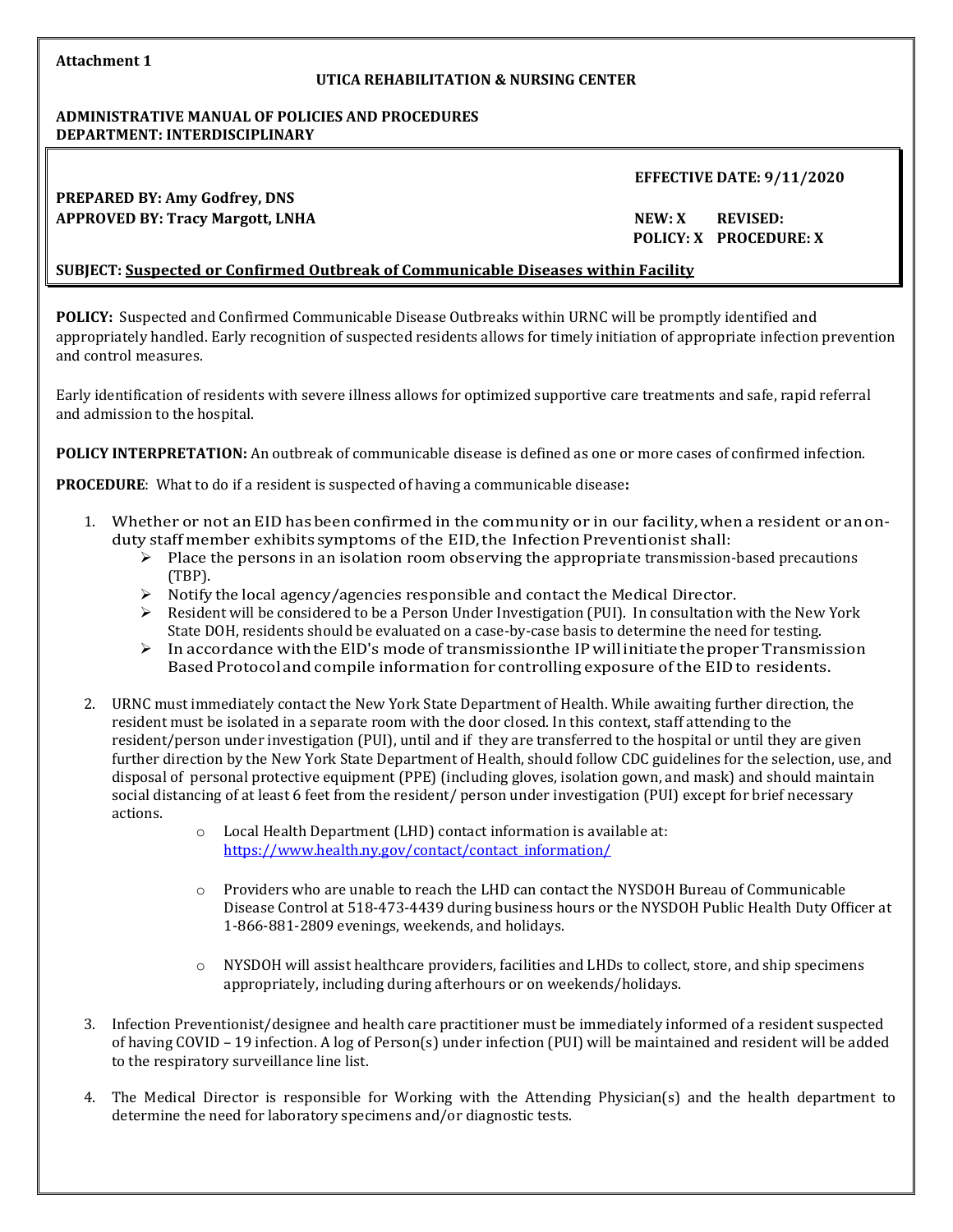#### **UTICA REHABILITATION & NURSING CENTER**

#### **ADMINISTRATIVE MANUAL OF POLICIES AND PROCEDURES DEPARTMENT: INTERDISCIPLINARY**

#### **EFFECTIVE DATE: 9/11/2020**

#### **PREPARED BY: Amy Godfrey, DNS** APPROVED BY: Tracy Margott, LNHA  $\blacksquare$  NEW: X REVISED:

 **POLICY: X PROCEDURE: X**

#### **SUBJECT: Suspected or Confirmed Outbreak of Communicable Diseases within Facility**

**POLICY:** Suspected and Confirmed Communicable Disease Outbreaks within URNC will be promptly identified and appropriately handled. Early recognition of suspected residents allows for timely initiation of appropriate infection prevention and control measures.

Early identification of residents with severe illness allows for optimized supportive care treatments and safe, rapid referral and admission to the hospital.

**POLICY INTERPRETATION:** An outbreak of communicable disease is defined as one or more cases of confirmed infection.

**PROCEDURE**: What to do if a resident is suspected of having a communicable disease**:**

- 1. Whether or not an EID has been confirmed in the community or in our facility, when a resident or anonduty staff member exhibits symptoms of the EID, the Infection Preventionist shall:
	- $\triangleright$  Place the persons in an isolation room observing the appropriate transmission-based precautions (TBP).
	- $\triangleright$  Notify the local agency/agencies responsible and contact the Medical Director.
	- $\triangleright$  Resident will be considered to be a Person Under Investigation (PUI). In consultation with the New York State DOH, residents should be evaluated on a case-by-case basis to determine the need for testing.
	- $\triangleright$  In accordance with the EID's mode of transmissionthe IP will initiate the proper Transmission Based Protocol and compile information for controlling exposure of the EIDto residents.
- 2. URNC must immediately contact the New York State Department of Health. While awaiting further direction, the resident must be isolated in a separate room with the door closed. In this context, staff attending to the resident/person under investigation (PUI), until and if they are transferred to the hospital or until they are given further direction by the New York State Department of Health, should follow CDC guidelines for the selection, use, and disposal of personal protective equipment (PPE) (including gloves, isolation gown, and mask) and should maintain social distancing of at least 6 feet from the resident/ person under investigation (PUI) except for brief necessary actions.
	- o Local Health Department (LHD) contact information is available at: [https://www.health.ny.gov/contact/contact\\_information/](https://www.health.ny.gov/contact/contact_information/)
	- o Providers who are unable to reach the LHD can contact the NYSDOH Bureau of Communicable Disease Control at 518-473-4439 during business hours or the NYSDOH Public Health Duty Officer at 1-866-881-2809 evenings, weekends, and holidays.
	- o NYSDOH will assist healthcare providers, facilities and LHDs to collect, store, and ship specimens appropriately, including during afterhours or on weekends/holidays.
- 3. Infection Preventionist/designee and health care practitioner must be immediately informed of a resident suspected of having COVID – 19 infection. A log of Person(s) under infection (PUI) will be maintained and resident will be added to the respiratory surveillance line list.
- 4. The Medical Director is responsible for Working with the Attending Physician(s) and the health department to determine the need for laboratory specimens and/or diagnostic tests.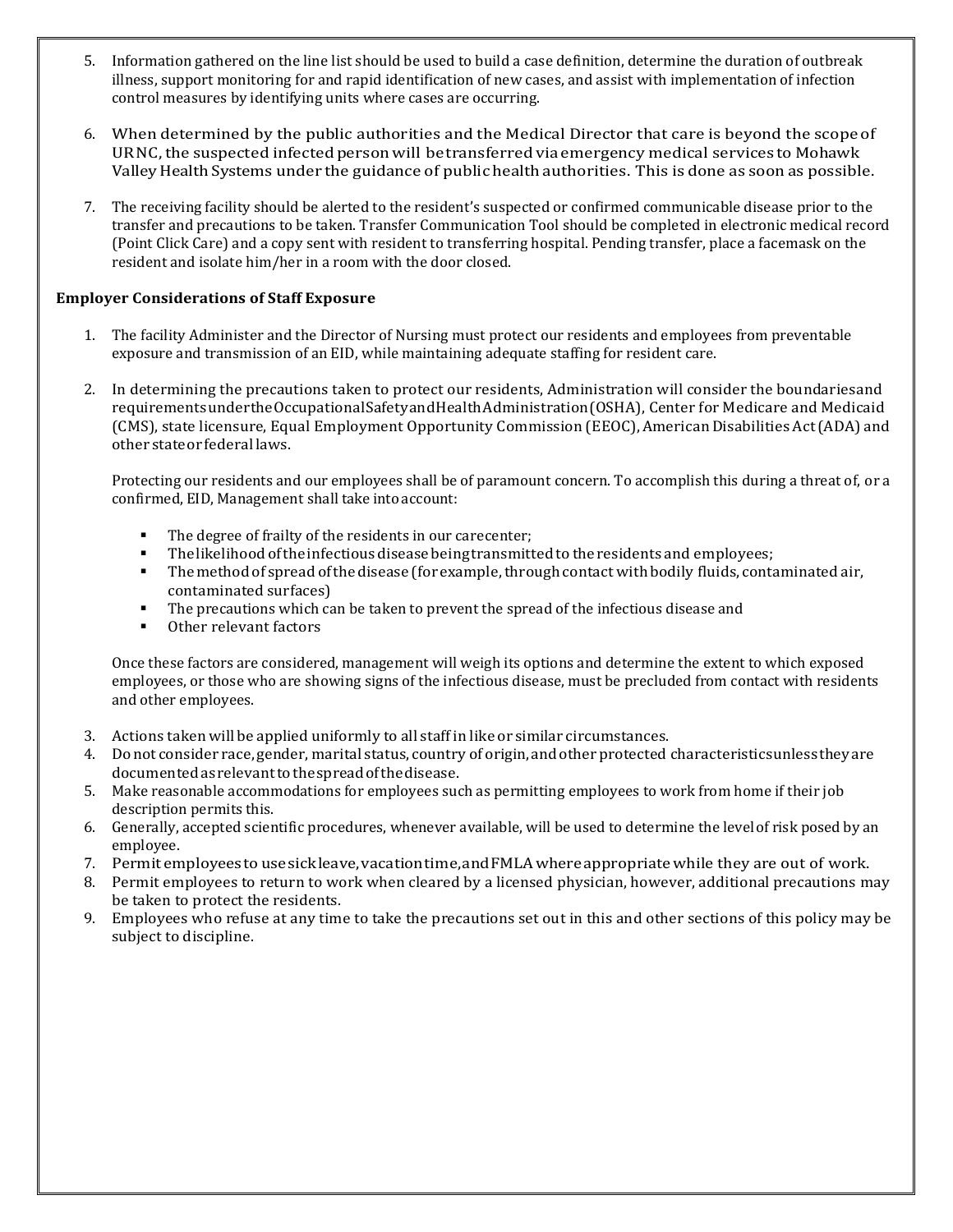- 5. Information gathered on the line list should be used to build a case definition, determine the duration of outbreak illness, support monitoring for and rapid identification of new cases, and assist with implementation of infection control measures by identifying units where cases are occurring.
- 6. When determined by the public authorities and the Medical Director that care is beyond the scope of URNC, the suspected infected person will betransferred via emergency medical services to Mohawk Valley Health Systems under the guidance of public healthauthorities. This is done as soon as possible.
- 7. The receiving facility should be alerted to the resident's suspected or confirmed communicable disease prior to the transfer and precautions to be taken. Transfer Communication Tool should be completed in electronic medical record (Point Click Care) and a copy sent with resident to transferring hospital. Pending transfer, place a facemask on the resident and isolate him/her in a room with the door closed.

#### **Employer Considerations of Staff Exposure**

- 1. The facility Administer and the Director of Nursing must protect our residents and employees from preventable exposure and transmission of an EID, while maintaining adequate staffing for resident care.
- 2. In determining the precautions taken to protect our residents, Administration will consider the boundariesand requirementsundertheOccupationalSafetyandHealthAdministration(OSHA), Center for Medicare and Medicaid (CMS), state licensure, Equal Employment Opportunity Commission (EEOC),AmericanDisabilities Act(ADA) and other stateor federallaws.

Protecting our residents and our employees shall be of paramount concern. To accomplish this during a threat of, or a confirmed, EID, Management shall take into account:

- The degree of frailty of the residents in our carecenter;<br>The likelihood of the infectious disease being transmitt
- The likelihood of the infectious disease being transmitted to the residents and employees;<br>The method of spread of the disease (for example, through contact with bodily fluids, conta
- The method of spread of the disease (for example, through contact with bodily fluids, contaminated air, contaminated surfaces)
- The precautions which can be taken to prevent the spread of the infectious disease and<br>
Other relevant factors
- Other relevant factors

Once these factors are considered, management will weigh its options and determine the extent to which exposed employees, or those who are showing signs of the infectious disease, must be precluded from contact with residents and other employees.

- 3. Actions taken will be applied uniformly to all staff in like or similar circumstances.
- 4. Donot consider race,gender, marital status, country of origin,andother protected characteristicsunlesstheyare documented as relevant to the spread of the disease.
- 5. Make reasonable accommodations for employees such as permitting employees to work from home if their job description permits this.
- 6. Generally, accepted scientific procedures, whenever available, will be used to determine the levelof risk posed by an employee.
- 7. Permit employeesto usesickleave,vacationtime,andFMLAwhereappropriatewhile they are out of work.
- 8. Permit employees to return to work when cleared by a licensed physician, however, additional precautions may be taken to protect the residents.
- 9. Employees who refuse at any time to take the precautions set out in this and other sections of this policy may be subject to discipline.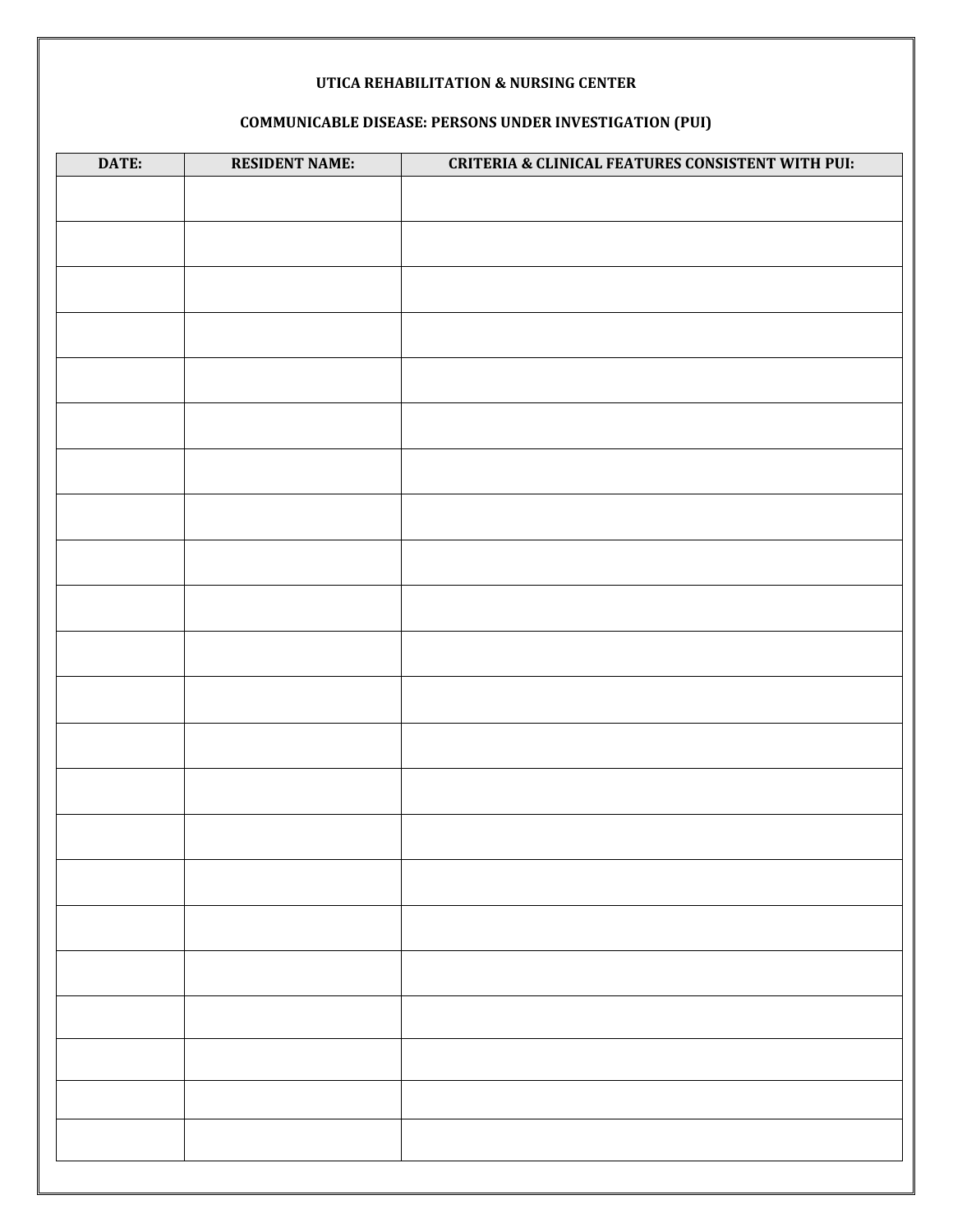#### **UTICA REHABILITATION & NURSING CENTER**

#### **COMMUNICABLE DISEASE: PERSONS UNDER INVESTIGATION (PUI)**

| DATE: | <b>RESIDENT NAME:</b> | <b>CRITERIA &amp; CLINICAL FEATURES CONSISTENT WITH PUI:</b> |
|-------|-----------------------|--------------------------------------------------------------|
|       |                       |                                                              |
|       |                       |                                                              |
|       |                       |                                                              |
|       |                       |                                                              |
|       |                       |                                                              |
|       |                       |                                                              |
|       |                       |                                                              |
|       |                       |                                                              |
|       |                       |                                                              |
|       |                       |                                                              |
|       |                       |                                                              |
|       |                       |                                                              |
|       |                       |                                                              |
|       |                       |                                                              |
|       |                       |                                                              |
|       |                       |                                                              |
|       |                       |                                                              |
|       |                       |                                                              |
|       |                       |                                                              |
|       |                       |                                                              |
|       |                       |                                                              |
|       |                       |                                                              |
|       |                       |                                                              |
|       |                       |                                                              |
|       |                       |                                                              |
|       |                       |                                                              |
|       |                       |                                                              |
|       |                       |                                                              |
|       |                       |                                                              |
|       |                       |                                                              |
|       |                       |                                                              |
|       |                       |                                                              |
|       |                       |                                                              |
|       |                       |                                                              |
|       |                       |                                                              |
|       |                       |                                                              |
|       |                       |                                                              |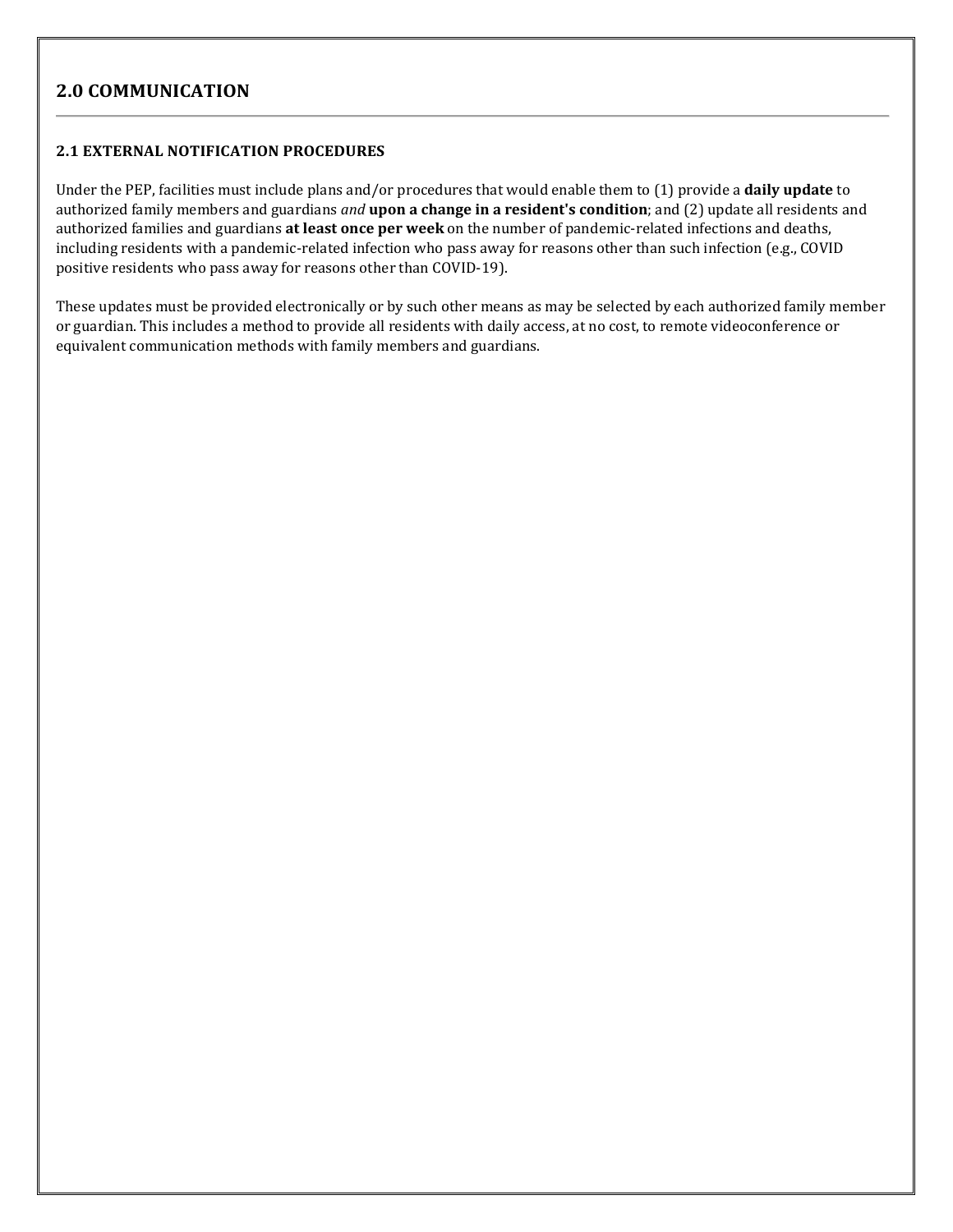### **2.0 COMMUNICATION**

#### **2.1 EXTERNAL NOTIFICATION PROCEDURES**

Under the PEP, facilities must include plans and/or procedures that would enable them to (1) provide a **daily update** to authorized family members and guardians *and* **upon a change in a resident's condition**; and (2) update all residents and authorized families and guardians **at least once per week** on the number of pandemic-related infections and deaths, including residents with a pandemic-related infection who pass away for reasons other than such infection (e.g., COVID positive residents who pass away for reasons other than COVID-19).

These updates must be provided electronically or by such other means as may be selected by each authorized family member or guardian. This includes a method to provide all residents with daily access, at no cost, to remote videoconference or equivalent communication methods with family members and guardians.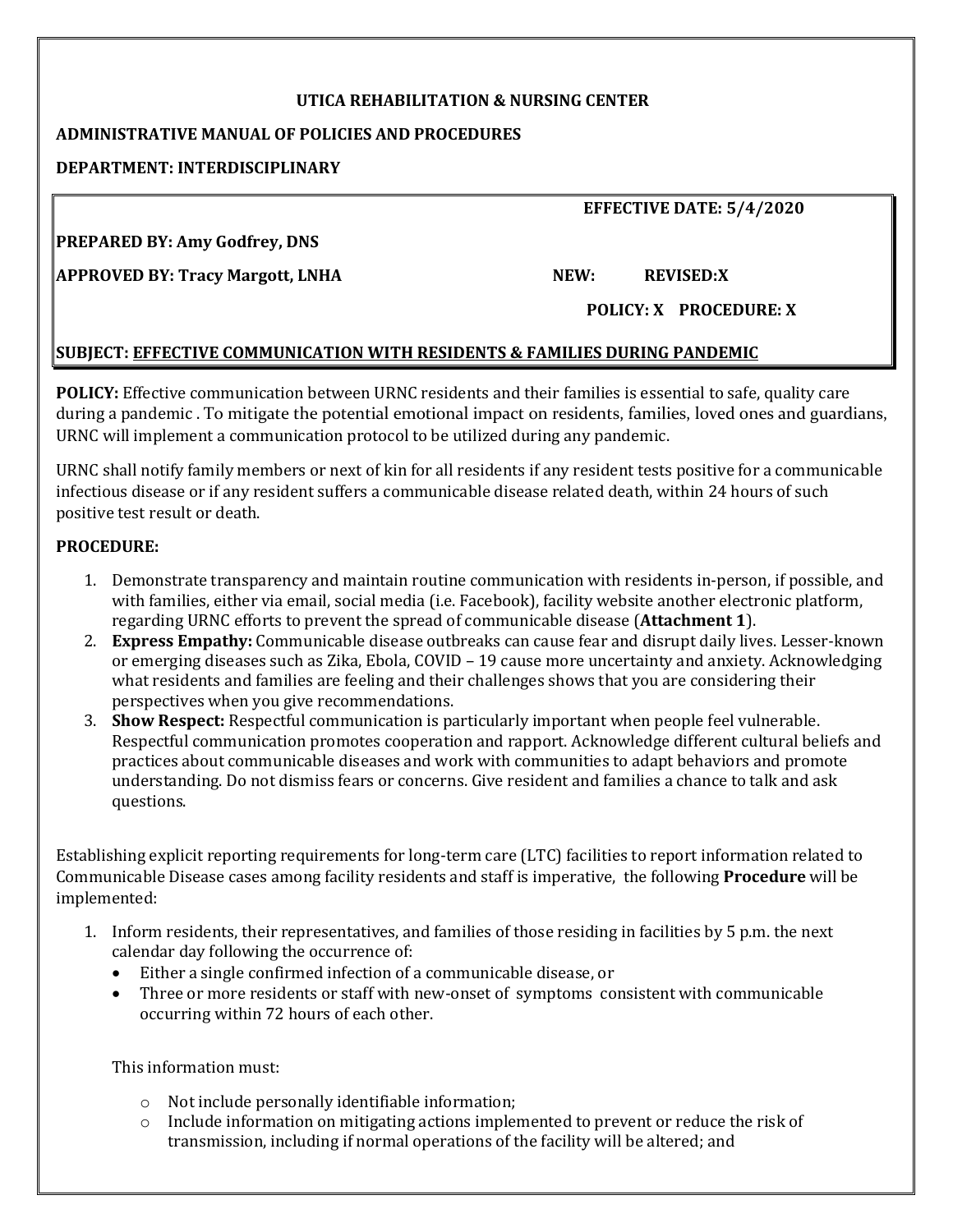#### **UTICA REHABILITATION & NURSING CENTER**

#### **ADMINISTRATIVE MANUAL OF POLICIES AND PROCEDURES**

#### **DEPARTMENT: INTERDISCIPLINARY**

#### **EFFECTIVE DATE: 5/4/2020**

**PREPARED BY: Amy Godfrey, DNS**

**APPROVED BY: Tracy Margott, LNHA NEW: REVISED:X** 

#### **POLICY: X PROCEDURE: X**

#### **SUBJECT: EFFECTIVE COMMUNICATION WITH RESIDENTS & FAMILIES DURING PANDEMIC**

**POLICY:** Effective communication between URNC residents and their families is essential to safe, quality care during a pandemic . To mitigate the potential emotional impact on residents, families, loved ones and guardians, URNC will implement a communication protocol to be utilized during any pandemic.

URNC shall notify family members or next of kin for all residents if any resident tests positive for a communicable infectious disease or if any resident suffers a communicable disease related death, within 24 hours of such positive test result or death.

#### **PROCEDURE:**

- 1. Demonstrate transparency and maintain routine communication with residents in-person, if possible, and with families, either via email, social media (i.e. Facebook), facility website another electronic platform, regarding URNC efforts to prevent the spread of communicable disease (**Attachment 1**).
- 2. **Express Empathy:** Communicable disease outbreaks can cause fear and disrupt daily lives. Lesser-known or emerging diseases such as Zika, Ebola, COVID – 19 cause more uncertainty and anxiety. Acknowledging what residents and families are feeling and their challenges shows that you are considering their perspectives when you give recommendations.
- 3. **Show Respect:** Respectful communication is particularly important when people feel vulnerable. Respectful communication promotes cooperation and rapport. Acknowledge different cultural beliefs and practices about communicable diseases and work with communities to adapt behaviors and promote understanding. Do not dismiss fears or concerns. Give resident and families a chance to talk and ask questions.

Establishing explicit reporting requirements for long-term care (LTC) facilities to report information related to Communicable Disease cases among facility residents and staff is imperative, the following **Procedure** will be implemented:

- 1. Inform residents, their representatives, and families of those residing in facilities by 5 p.m. the next calendar day following the occurrence of:
	- Either a single confirmed infection of a communicable disease, or
	- Three or more residents or staff with new-onset of symptoms consistent with communicable occurring within 72 hours of each other.

This information must:

- o Not include personally identifiable information;
- o Include information on mitigating actions implemented to prevent or reduce the risk of transmission, including if normal operations of the facility will be altered; and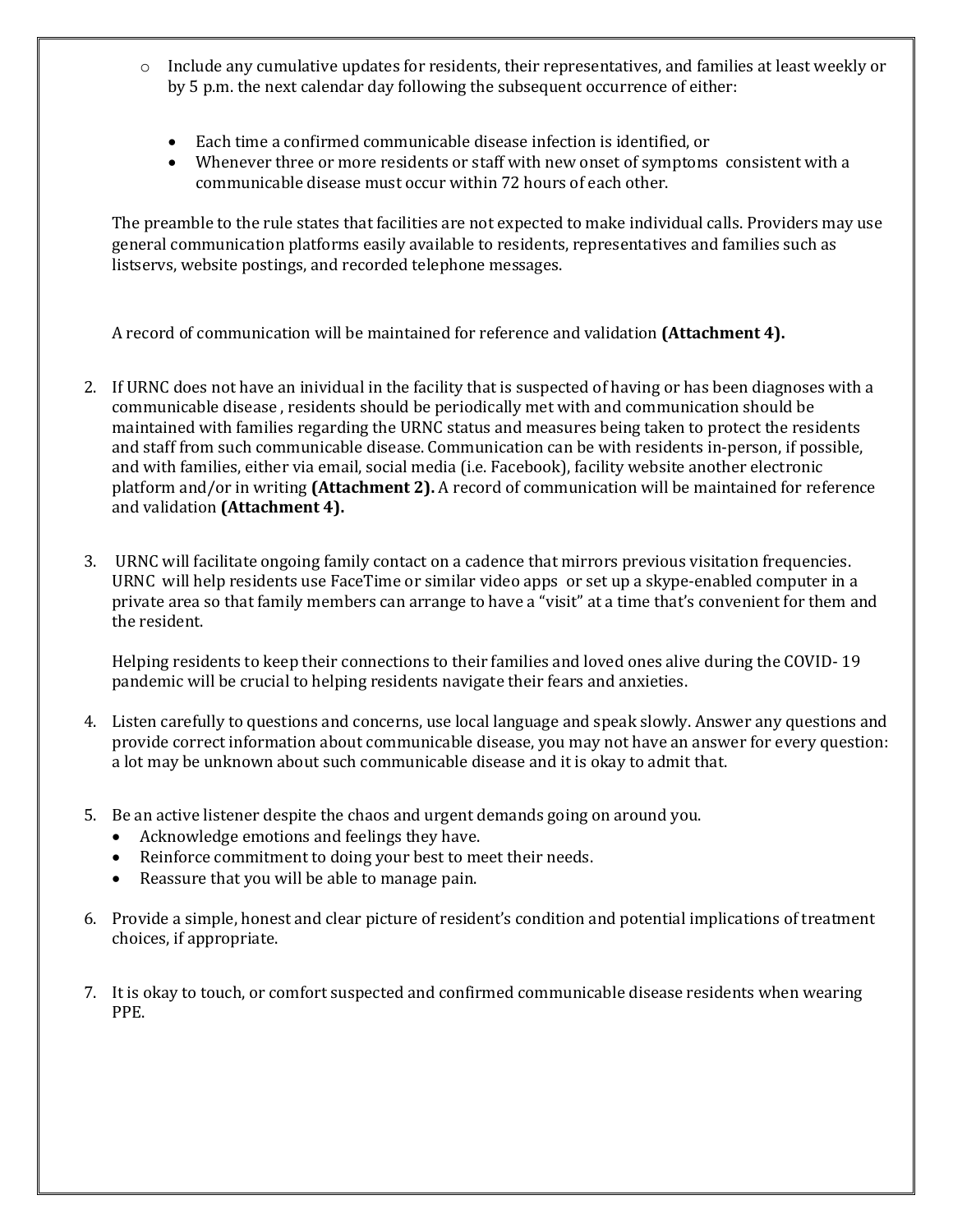- o Include any cumulative updates for residents, their representatives, and families at least weekly or by 5 p.m. the next calendar day following the subsequent occurrence of either:
	- Each time a confirmed communicable disease infection is identified, or
	- Whenever three or more residents or staff with new onset of symptoms consistent with a communicable disease must occur within 72 hours of each other.

The preamble to the rule states that facilities are not expected to make individual calls. Providers may use general communication platforms easily available to residents, representatives and families such as listservs, website postings, and recorded telephone messages.

A record of communication will be maintained for reference and validation **(Attachment 4).**

- 2. If URNC does not have an inividual in the facility that is suspected of having or has been diagnoses with a communicable disease , residents should be periodically met with and communication should be maintained with families regarding the URNC status and measures being taken to protect the residents and staff from such communicable disease. Communication can be with residents in-person, if possible, and with families, either via email, social media (i.e. Facebook), facility website another electronic platform and/or in writing **(Attachment 2).** A record of communication will be maintained for reference and validation **(Attachment 4).**
- 3. URNC will facilitate ongoing family contact on a cadence that mirrors previous visitation frequencies. URNC will help residents use FaceTime or similar video apps or set up a skype-enabled computer in a private area so that family members can arrange to have a "visit" at a time that's convenient for them and the resident.

Helping residents to keep their connections to their families and loved ones alive during the COVID- 19 pandemic will be crucial to helping residents navigate their fears and anxieties.

- 4. Listen carefully to questions and concerns, use local language and speak slowly. Answer any questions and provide correct information about communicable disease, you may not have an answer for every question: a lot may be unknown about such communicable disease and it is okay to admit that.
- 5. Be an active listener despite the chaos and urgent demands going on around you.
	- Acknowledge emotions and feelings they have.
	- Reinforce commitment to doing your best to meet their needs.
	- Reassure that you will be able to manage pain.
- 6. Provide a simple, honest and clear picture of resident's condition and potential implications of treatment choices, if appropriate.
- 7. It is okay to touch, or comfort suspected and confirmed communicable disease residents when wearing PPE.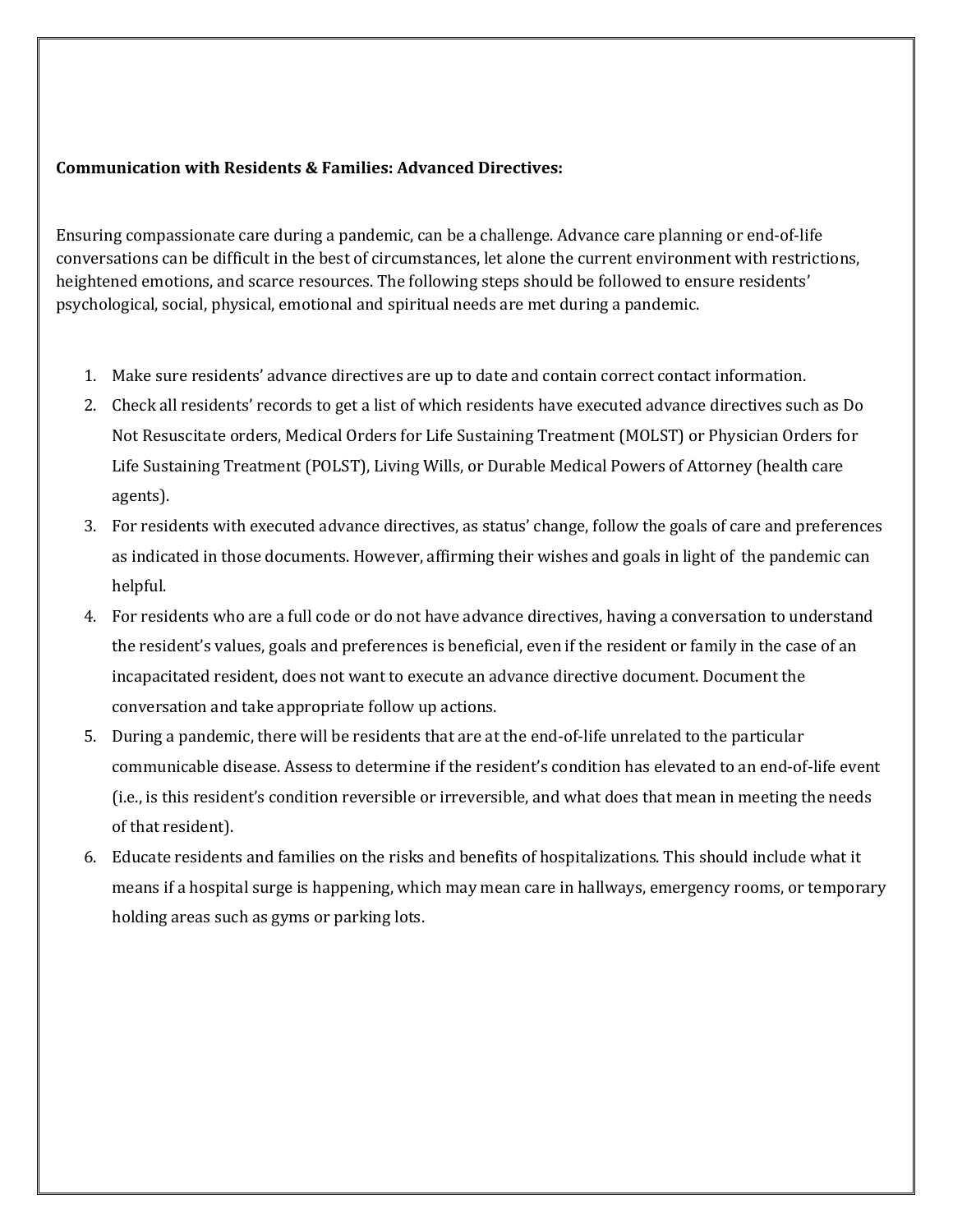#### **Communication with Residents & Families: Advanced Directives:**

Ensuring compassionate care during a pandemic, can be a challenge. Advance care planning or end-of-life conversations can be difficult in the best of circumstances, let alone the current environment with restrictions, heightened emotions, and scarce resources. The following steps should be followed to ensure residents' psychological, social, physical, emotional and spiritual needs are met during a pandemic.

- 1. Make sure residents' advance directives are up to date and contain correct contact information.
- 2. Check all residents' records to get a list of which residents have executed advance directives such as Do Not Resuscitate orders, Medical Orders for Life Sustaining Treatment (MOLST) or Physician Orders for Life Sustaining Treatment (POLST), Living Wills, or Durable Medical Powers of Attorney (health care agents).
- 3. For residents with executed advance directives, as status' change, follow the goals of care and preferences as indicated in those documents. However, affirming their wishes and goals in light of the pandemic can helpful.
- 4. For residents who are a full code or do not have advance directives, having a conversation to understand the resident's values, goals and preferences is beneficial, even if the resident or family in the case of an incapacitated resident, does not want to execute an advance directive document. Document the conversation and take appropriate follow up actions.
- 5. During a pandemic, there will be residents that are at the end-of-life unrelated to the particular communicable disease. Assess to determine if the resident's condition has elevated to an end-of-life event (i.e., is this resident's condition reversible or irreversible, and what does that mean in meeting the needs of that resident).
- 6. Educate residents and families on the risks and benefits of hospitalizations. This should include what it means if a hospital surge is happening, which may mean care in hallways, emergency rooms, or temporary holding areas such as gyms or parking lots.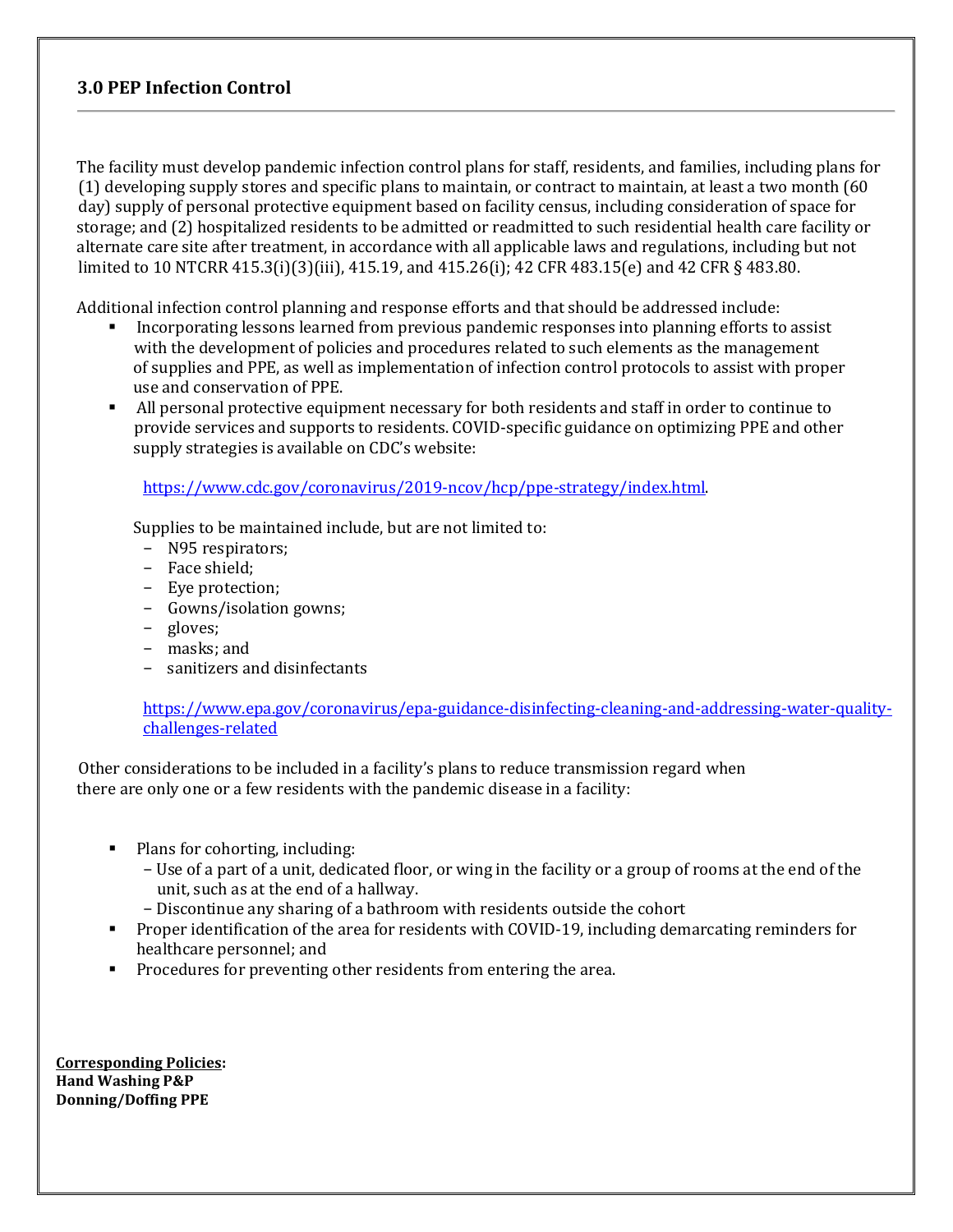#### **3.0 PEP Infection Control**

The facility must develop pandemic infection control plans for staff, residents, and families, including plans for (1) developing supply stores and specific plans to maintain, or contract to maintain, at least a two month (60 day) supply of personal protective equipment based on facility census, including consideration of space for storage; and (2) hospitalized residents to be admitted or readmitted to such residential health care facility or alternate care site after treatment, in accordance with all applicable laws and regulations, including but not limited to 10 NTCRR 415.3(i)(3)(iii), 415.19, and 415.26(i); 42 CFR 483.15(e) and 42 CFR § 483.80.

Additional infection control planning and response efforts and that should be addressed include:

- Incorporating lessons learned from previous pandemic responses into planning efforts to assist with the development of policies and procedures related to such elements as the management of supplies and PPE, as well as implementation of infection control protocols to assist with proper use and conservation of PPE.
- All personal protective equipment necessary for both residents and staff in order to continue to provide services and supports to residents. COVID-specific guidance on optimizing PPE and other supply strategies is available on CDC's website:

[https://www.cdc.gov/coronavirus/2019-ncov/hcp/ppe-strategy/index.html.](https://www.cdc.gov/coronavirus/2019-ncov/hcp/ppe-strategy/index.html) 

Supplies to be maintained include, but are not limited to:

- − N95 respirators;
- − Face shield;
- − Eye protection;
- − Gowns/isolation gowns;
- − gloves;
- − masks; and
- − sanitizers and disinfectants

[https://www.epa.gov/coronavirus/epa-guidance-disinfecting-cleaning-and-addressing-water-quality](https://www.epa.gov/coronavirus/epa-guidance-disinfecting-cleaning-and-addressing-water-quality-challenges-related)[challenges-related](https://www.epa.gov/coronavirus/epa-guidance-disinfecting-cleaning-and-addressing-water-quality-challenges-related)

Other considerations to be included in a facility's plans to reduce transmission regard when there are only one or a few residents with the pandemic disease in a facility:

- Plans for cohorting, including:
	- − Use of a part of a unit, dedicated floor, or wing in the facility or a group of rooms at the end of the unit, such as at the end of a hallway.
	- − Discontinue any sharing of a bathroom with residents outside the cohort
- Proper identification of the area for residents with COVID-19, including demarcating reminders for healthcare personnel; and
- Procedures for preventing other residents from entering the area.

**Corresponding Policies: Hand Washing P&P Donning/Doffing PPE**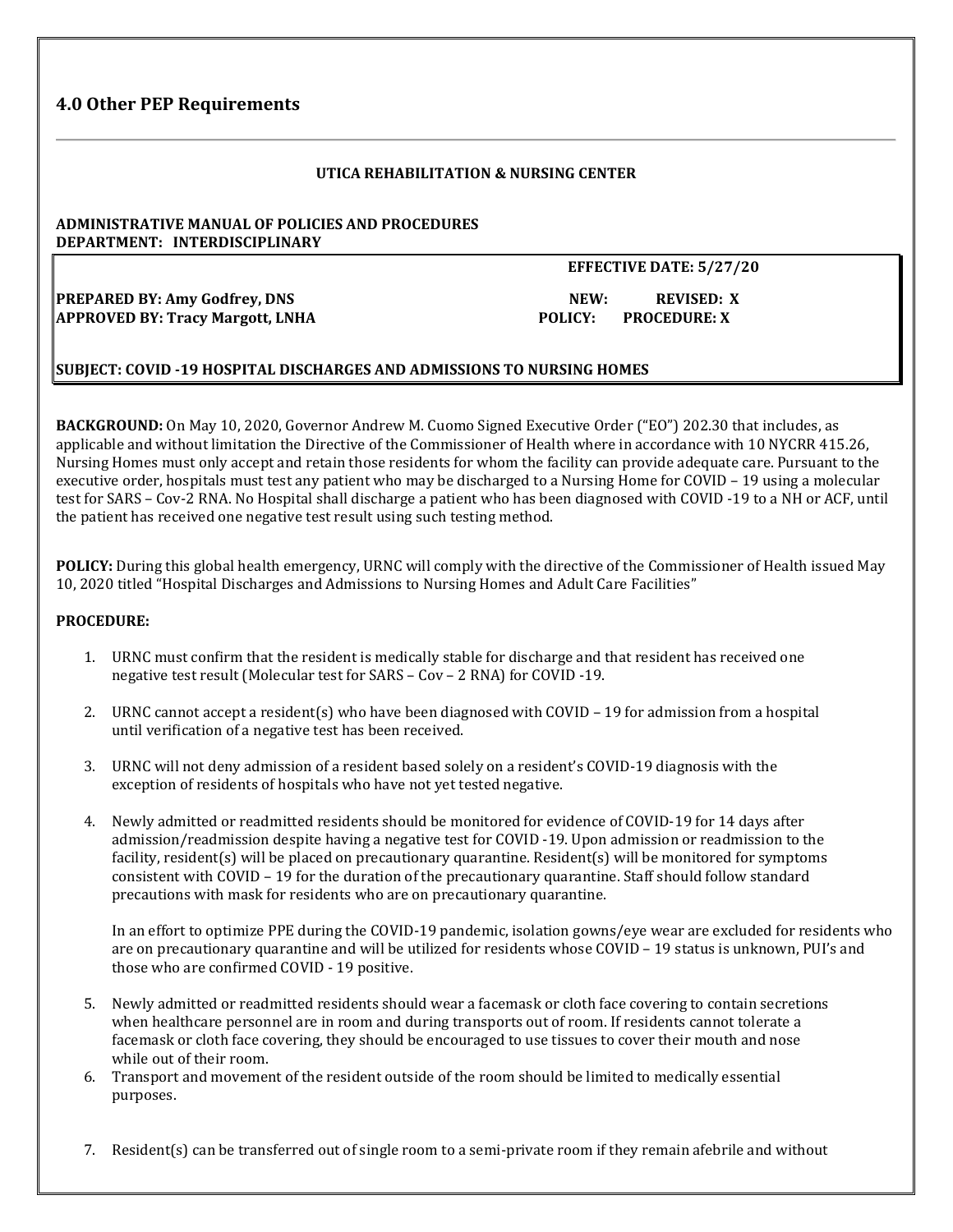#### **4.0 Other PEP Requirements**

#### **UTICA REHABILITATION & NURSING CENTER**

#### **ADMINISTRATIVE MANUAL OF POLICIES AND PROCEDURES DEPARTMENT: INTERDISCIPLINARY**

#### **EFFECTIVE DATE: 5/27/20**

**PREPARED BY: Amy Godfrey, DNS NEW: REVISED: X APPROVED BY: Tracy Margott, LNHA POLICY: PROCEDURE: X** 

#### **SUBJECT: COVID -19 HOSPITAL DISCHARGES AND ADMISSIONS TO NURSING HOMES**

**BACKGROUND:** On May 10, 2020, Governor Andrew M. Cuomo Signed Executive Order ("EO") 202.30 that includes, as applicable and without limitation the Directive of the Commissioner of Health where in accordance with 10 NYCRR 415.26, Nursing Homes must only accept and retain those residents for whom the facility can provide adequate care. Pursuant to the executive order, hospitals must test any patient who may be discharged to a Nursing Home for COVID – 19 using a molecular test for SARS – Cov-2 RNA. No Hospital shall discharge a patient who has been diagnosed with COVID -19 to a NH or ACF, until the patient has received one negative test result using such testing method.

**POLICY:** During this global health emergency, URNC will comply with the directive of the Commissioner of Health issued May 10, 2020 titled "Hospital Discharges and Admissions to Nursing Homes and Adult Care Facilities"

#### **PROCEDURE:**

- 1. URNC must confirm that the resident is medically stable for discharge and that resident has received one negative test result (Molecular test for SARS – Cov – 2 RNA) for COVID -19.
- 2. URNC cannot accept a resident(s) who have been diagnosed with COVID 19 for admission from a hospital until verification of a negative test has been received.
- 3. URNC will not deny admission of a resident based solely on a resident's COVID-19 diagnosis with the exception of residents of hospitals who have not yet tested negative.
- 4. Newly admitted or readmitted residents should be monitored for evidence of COVID-19 for 14 days after admission/readmission despite having a negative test for COVID -19. Upon admission or readmission to the facility, resident(s) will be placed on precautionary quarantine. Resident(s) will be monitored for symptoms consistent with COVID – 19 for the duration of the precautionary quarantine. Staff should follow standard precautions with mask for residents who are on precautionary quarantine.

In an effort to optimize PPE during the COVID-19 pandemic, isolation gowns/eye wear are excluded for residents who are on precautionary quarantine and will be utilized for residents whose COVID – 19 status is unknown, PUI's and those who are confirmed COVID - 19 positive.

- 5. Newly admitted or readmitted residents should wear a facemask or cloth face covering to contain secretions when healthcare personnel are in room and during transports out of room. If residents cannot tolerate a facemask or cloth face covering, they should be encouraged to use tissues to cover their mouth and nose while out of their room.
- 6. Transport and movement of the resident outside of the room should be limited to medically essential purposes.
- 7. Resident(s) can be transferred out of single room to a semi-private room if they remain afebrile and without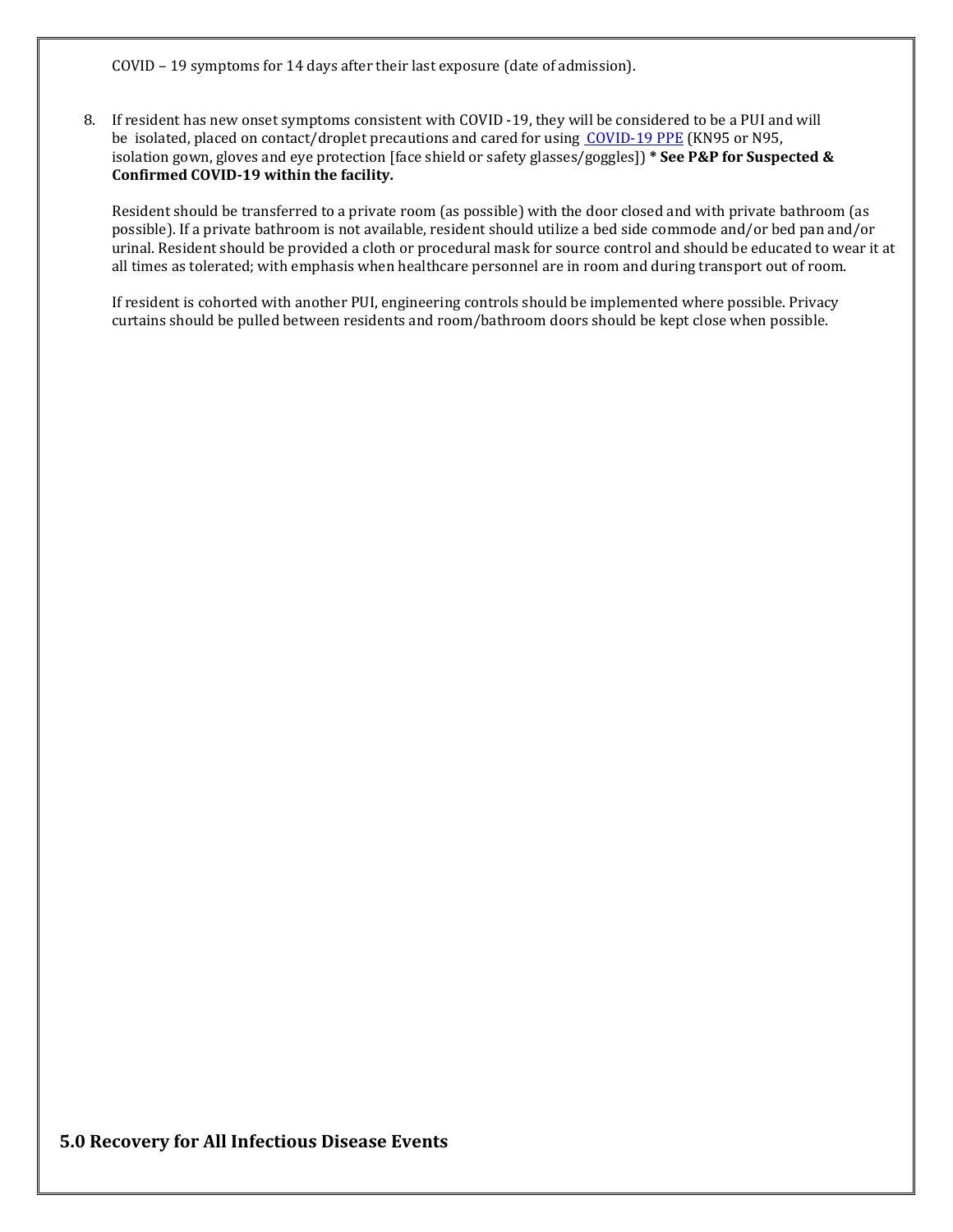8. If resident has new onset symptoms consistent with COVID -19, they will be considered to be a PUI and will be isolated, placed on contact/droplet precautions and cared for using [COVID-19 PPE](https://www.cdc.gov/coronavirus/2019-ncov/hcp/infection-control-recommendations.html?CDC_AA_refVal=https%3A%2F%2Fwww.cdc.gov%2Fcoronavirus%2F2019-ncov%2Finfection-control%2Fcontrol-recommendations.html) (KN95 or N95, isolation gown, gloves and eye protection [face shield or safety glasses/goggles]) **\* See P&P for Suspected & Confirmed COVID-19 within the facility.**

Resident should be transferred to a private room (as possible) with the door closed and with private bathroom (as possible). If a private bathroom is not available, resident should utilize a bed side commode and/or bed pan and/or urinal. Resident should be provided a cloth or procedural mask for source control and should be educated to wear it at all times as tolerated; with emphasis when healthcare personnel are in room and during transport out of room.

If resident is cohorted with another PUI, engineering controls should be implemented where possible. Privacy curtains should be pulled between residents and room/bathroom doors should be kept close when possible.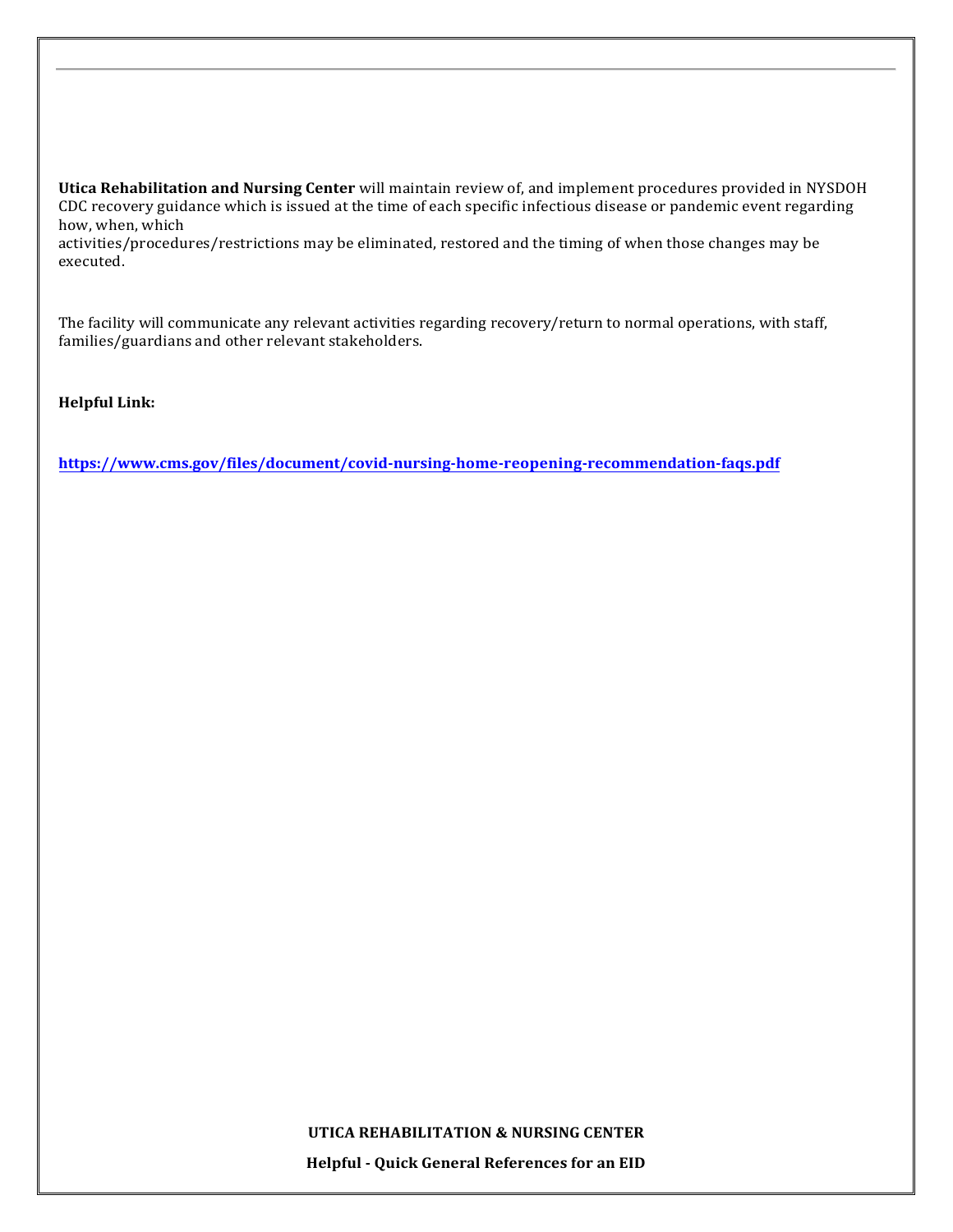**Utica Rehabilitation and Nursing Center** will maintain review of, and implement procedures provided in NYSDOH CDC recovery guidance which is issued at the time of each specific infectious disease or pandemic event regarding how, when, which

activities/procedures/restrictions may be eliminated, restored and the timing of when those changes may be executed.

The facility will communicate [any relevant activities regarding recovery/return to normal](https://www.cms.gov/files/document/covid-nursing-home-reopening-recommendation-faqs.pdf) operations, with staff, families/guardians and other relevant stakeholders.

**Helpful Link:** 

**https://www.cms.gov/files/document/covid-nursing-home-reopening-recommendation-faqs.pdf**

**UTICA REHABILITATION & NURSING CENTER**

**Helpful - Quick General References for an EID**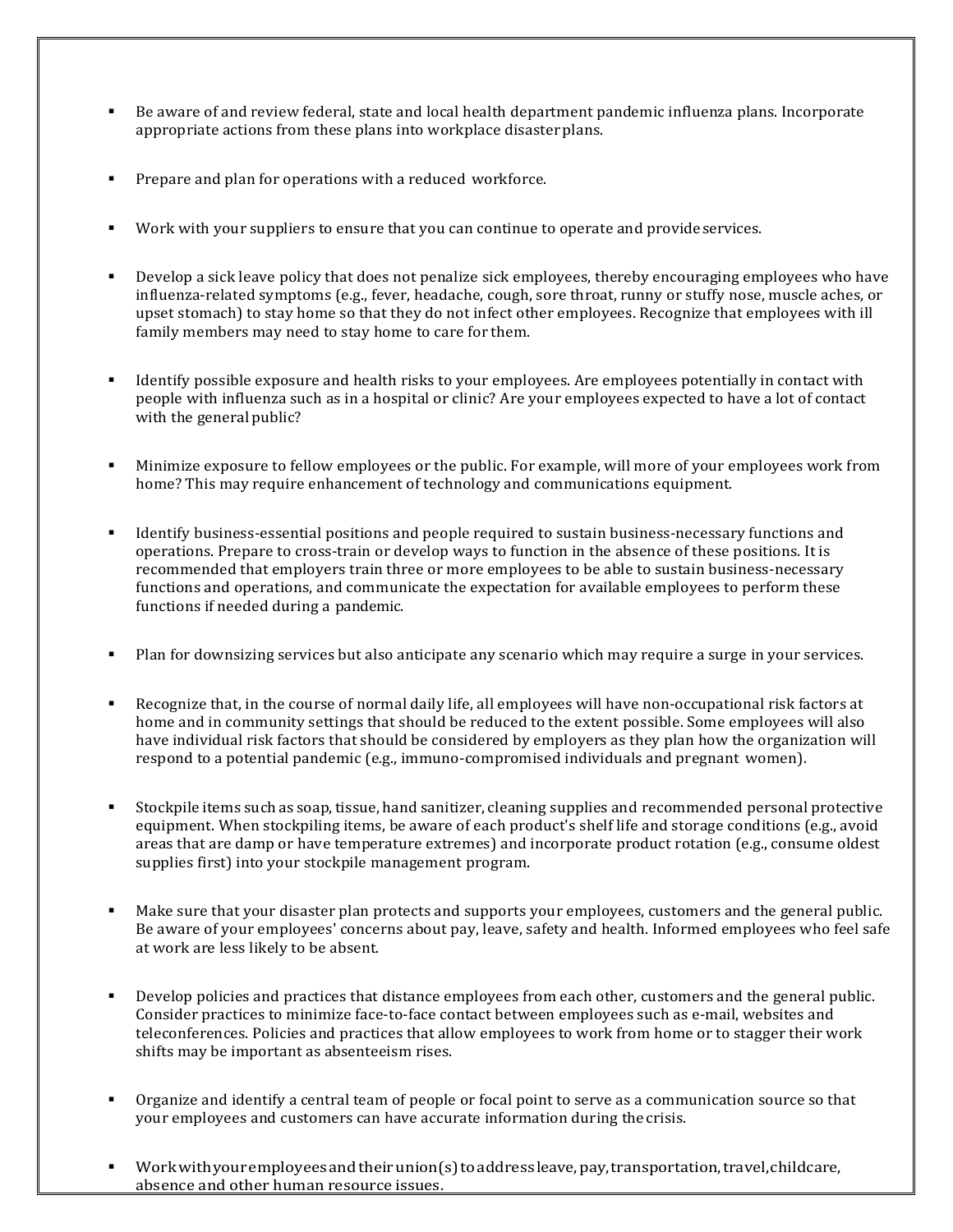- Be aware of and review federal, state and local health department pandemic influenza plans. Incorporate appropriate actions from these plans into workplace disasterplans.
- **Prepare and plan for operations with a reduced workforce.**
- Work with your suppliers to ensure that you can continue to operate and provideservices.
- Develop a sick leave policy that does not penalize sick employees, thereby encouraging employees who have influenza-related symptoms (e.g., fever, headache, cough, sore throat, runny or stuffy nose, muscle aches, or upset stomach) to stay home so that they do not infect other employees. Recognize that employees with ill family members may need to stay home to care for them.
- Identify possible exposure and health risks to your employees. Are employees potentially in contact with people with influenza such as in a hospital or clinic? Are your employees expected to have a lot of contact with the general public?
- Minimize exposure to fellow employees or the public. For example, will more of your employees work from home? This may require enhancement of technology and communications equipment.
- Identify business-essential positions and people required to sustain business-necessary functions and operations. Prepare to cross-train or develop ways to function in the absence of these positions. It is recommended that employers train three or more employees to be able to sustain business-necessary functions and operations, and communicate the expectation for available employees to perform these functions if needed during a pandemic.
- Plan for downsizing services but also anticipate any scenario which may require a surge in your services.
- Recognize that, in the course of normal daily life, all employees will have non-occupational risk factors at home and in community settings that should be reduced to the extent possible. Some employees will also have individual risk factors that should be considered by employers as they plan how the organization will respond to a potential pandemic (e.g., immuno-compromised individuals and pregnant women).
- Stockpile items such as soap,tissue, hand sanitizer, cleaning supplies and recommended personal protective equipment. When stockpiling items, be aware of each product's shelf life and storage conditions (e.g., avoid areas that are damp or have temperature extremes) and incorporate product rotation (e.g., consume oldest supplies first) into your stockpile management program.
- Make sure that your disaster plan protects and supports your employees, customers and the general public. Be aware of your employees' concerns about pay, leave, safety and health. Informed employees who feel safe at work are less likely to be absent.
- Develop policies and practices that distance employees from each other, customers and the general public. Consider practices to minimize face-to-face contact between employees such as e-mail, websites and teleconferences. Policies and practices that allow employees to work from home or to stagger their work shifts may be important as absenteeism rises.
- Organize and identify a central team of people or focal point to serve as a communication source so that your employees and customers can have accurate information during the crisis.
- Workwithyouremployeesandtheirunion(s)toaddress leave,pay,transportation,travel,childcare, absence and other human resource issues.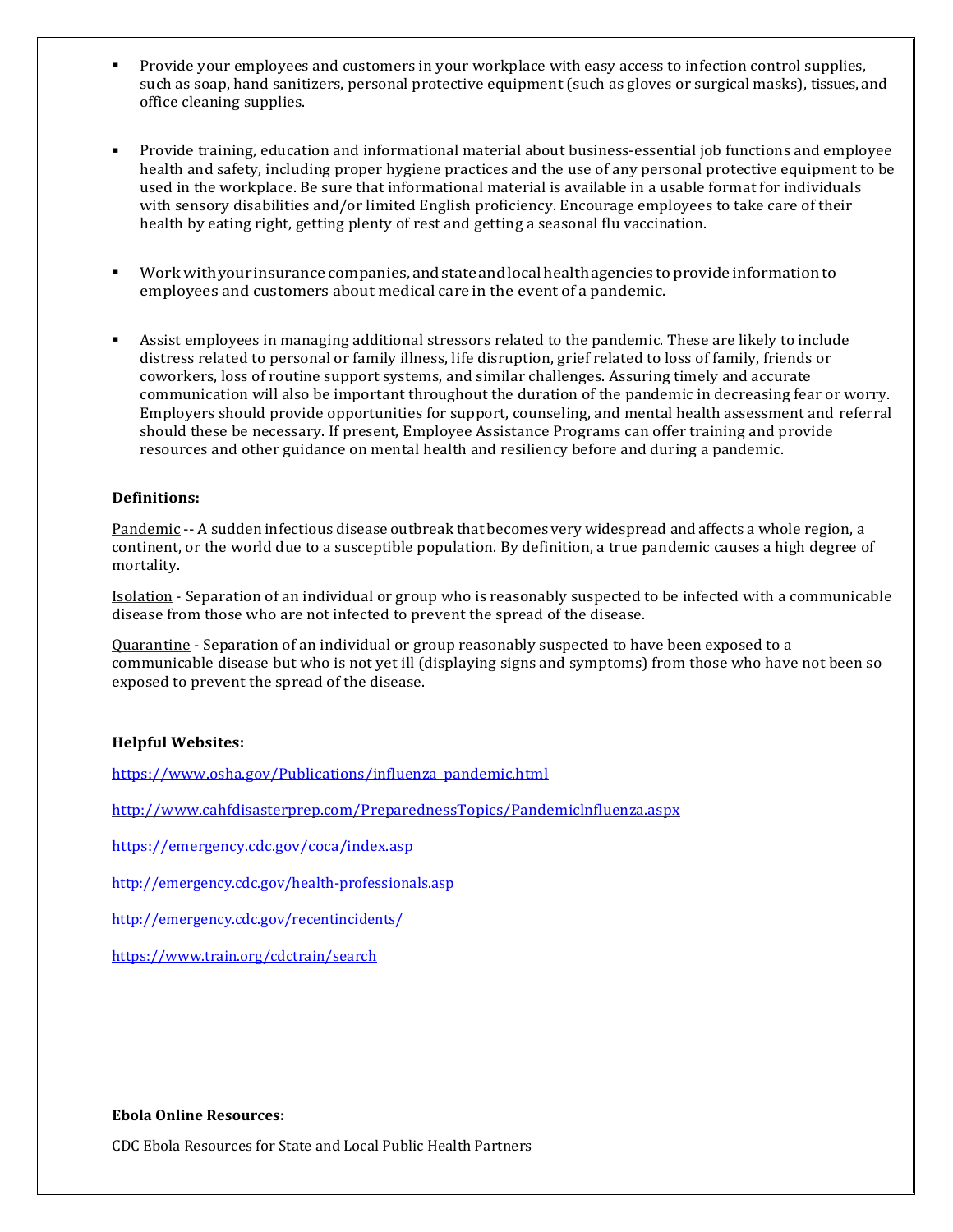- Provide your employees and customers in your workplace with easy access to infection control supplies, such as soap, hand sanitizers, personal protective equipment (such as gloves or surgical masks), tissues, and office cleaning supplies.
- Provide training, education and informational material about business-essential job functions and employee health and safety, including proper hygiene practices and the use of any personal protective equipment to be used in the workplace. Be sure that informational material is available in a usable format for individuals with sensory disabilities and/or limited English proficiency. Encourage employees to take care of their health by eating right, getting plenty of rest and getting a seasonal flu vaccination.
- Work withyour insurance companies,andstateandlocalhealthagencies to provide informationto employees and customers about medical care in the event of a pandemic.
- Assist employees in managing additional stressors related to the pandemic. These are likely to include distress related to personal or family illness, life disruption, grief related to loss of family, friends or coworkers, loss of routine support systems, and similar challenges. Assuring timely and accurate communication will also be important throughout the duration of the pandemic in decreasing fear or worry. Employers should provide opportunities for support, counseling, and mental health assessment and referral should these be necessary. If present, Employee Assistance Programs can offer training and provide resources and other guidance on mental health and resiliency before and during a pandemic.

#### **Definitions:**

Pandemic -- A sudden infectious disease outbreak that becomes very widespread andaffects a whole region, a continent, or the world due to a susceptible population. By definition, a true pandemic causes a high degree of mortality.

Isolation - Separation of an individual or group who is reasonably suspected to be infected with a communicable disease from those who are not infected to prevent the spread of the disease.

Quarantine - Separation of an individual or group reasonably suspected to have been exposed to a communicable disease but who is not yet ill (displaying signs and symptoms) from those who have not been so exposed to prevent the spread of the disease.

#### **Helpful Websites:**

[https://www.osha.gov/Publications/influenza pandemic.html](https://www.osha.gov/Publications/influenza%20pandemic.html)

<http://www.cahfdisasterprep.com/PreparednessTopics/Pandemiclnfluenza.aspx>

<https://emergency.cdc.gov/coca/index.asp>

<http://emergency.cdc.gov/health-professionals.asp>

<http://emergency.cdc.gov/recentincidents/>

<https://www.train.org/cdctrain/search>

#### **Ebola Online Resources:**

CDC Ebola Resources for State and Local Public Health Partners